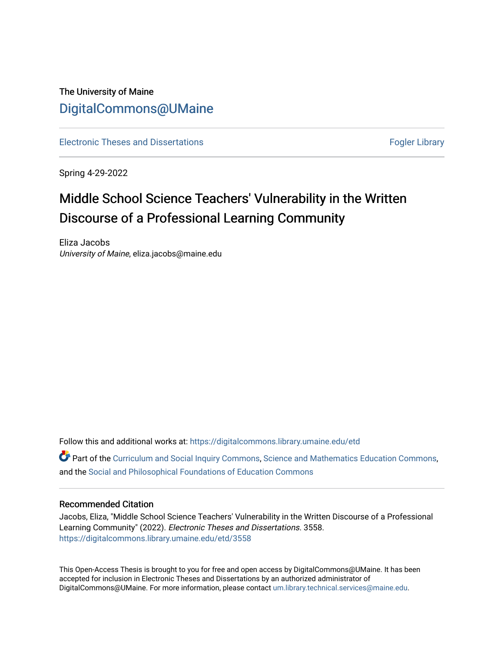# The University of Maine [DigitalCommons@UMaine](https://digitalcommons.library.umaine.edu/)

[Electronic Theses and Dissertations](https://digitalcommons.library.umaine.edu/etd) [Fogler Library](https://digitalcommons.library.umaine.edu/fogler) Fogler Library

Spring 4-29-2022

# Middle School Science Teachers' Vulnerability in the Written Discourse of a Professional Learning Community

Eliza Jacobs University of Maine, eliza.jacobs@maine.edu

Follow this and additional works at: [https://digitalcommons.library.umaine.edu/etd](https://digitalcommons.library.umaine.edu/etd?utm_source=digitalcommons.library.umaine.edu%2Fetd%2F3558&utm_medium=PDF&utm_campaign=PDFCoverPages) 

**P** Part of the [Curriculum and Social Inquiry Commons,](https://network.bepress.com/hgg/discipline/1038?utm_source=digitalcommons.library.umaine.edu%2Fetd%2F3558&utm_medium=PDF&utm_campaign=PDFCoverPages) [Science and Mathematics Education Commons,](https://network.bepress.com/hgg/discipline/800?utm_source=digitalcommons.library.umaine.edu%2Fetd%2F3558&utm_medium=PDF&utm_campaign=PDFCoverPages) and the [Social and Philosophical Foundations of Education Commons](https://network.bepress.com/hgg/discipline/799?utm_source=digitalcommons.library.umaine.edu%2Fetd%2F3558&utm_medium=PDF&utm_campaign=PDFCoverPages) 

## Recommended Citation

Jacobs, Eliza, "Middle School Science Teachers' Vulnerability in the Written Discourse of a Professional Learning Community" (2022). Electronic Theses and Dissertations. 3558. [https://digitalcommons.library.umaine.edu/etd/3558](https://digitalcommons.library.umaine.edu/etd/3558?utm_source=digitalcommons.library.umaine.edu%2Fetd%2F3558&utm_medium=PDF&utm_campaign=PDFCoverPages)

This Open-Access Thesis is brought to you for free and open access by DigitalCommons@UMaine. It has been accepted for inclusion in Electronic Theses and Dissertations by an authorized administrator of DigitalCommons@UMaine. For more information, please contact [um.library.technical.services@maine.edu](mailto:um.library.technical.services@maine.edu).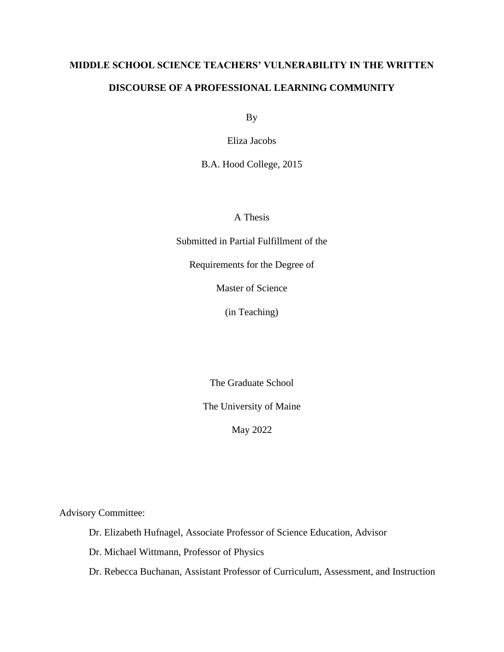# **MIDDLE SCHOOL SCIENCE TEACHERS' VULNERABILITY IN THE WRITTEN DISCOURSE OF A PROFESSIONAL LEARNING COMMUNITY**

By

Eliza Jacobs

B.A. Hood College, 2015

A Thesis

Submitted in Partial Fulfillment of the

Requirements for the Degree of

Master of Science

(in Teaching)

The Graduate School

The University of Maine

May 2022

Advisory Committee:

Dr. Elizabeth Hufnagel, Associate Professor of Science Education, Advisor

Dr. Michael Wittmann, Professor of Physics

Dr. Rebecca Buchanan, Assistant Professor of Curriculum, Assessment, and Instruction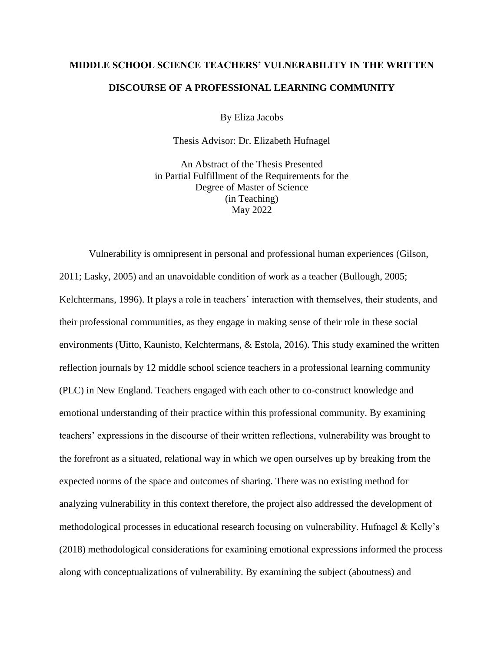# **MIDDLE SCHOOL SCIENCE TEACHERS' VULNERABILITY IN THE WRITTEN DISCOURSE OF A PROFESSIONAL LEARNING COMMUNITY**

By Eliza Jacobs

Thesis Advisor: Dr. Elizabeth Hufnagel

An Abstract of the Thesis Presented in Partial Fulfillment of the Requirements for the Degree of Master of Science (in Teaching) May 2022

Vulnerability is omnipresent in personal and professional human experiences (Gilson, 2011; Lasky, 2005) and an unavoidable condition of work as a teacher (Bullough, 2005; Kelchtermans, 1996). It plays a role in teachers' interaction with themselves, their students, and their professional communities, as they engage in making sense of their role in these social environments (Uitto, Kaunisto, Kelchtermans, & Estola, 2016). This study examined the written reflection journals by 12 middle school science teachers in a professional learning community (PLC) in New England. Teachers engaged with each other to co-construct knowledge and emotional understanding of their practice within this professional community. By examining teachers' expressions in the discourse of their written reflections, vulnerability was brought to the forefront as a situated, relational way in which we open ourselves up by breaking from the expected norms of the space and outcomes of sharing. There was no existing method for analyzing vulnerability in this context therefore, the project also addressed the development of methodological processes in educational research focusing on vulnerability. Hufnagel & Kelly's (2018) methodological considerations for examining emotional expressions informed the process along with conceptualizations of vulnerability. By examining the subject (aboutness) and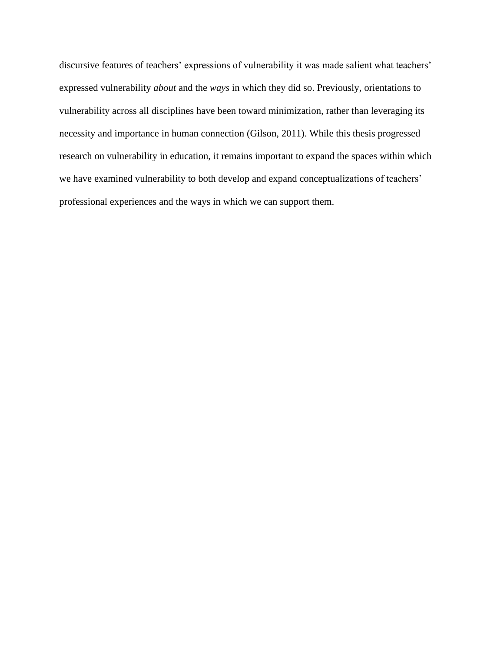discursive features of teachers' expressions of vulnerability it was made salient what teachers' expressed vulnerability *about* and the *ways* in which they did so. Previously, orientations to vulnerability across all disciplines have been toward minimization, rather than leveraging its necessity and importance in human connection (Gilson, 2011). While this thesis progressed research on vulnerability in education, it remains important to expand the spaces within which we have examined vulnerability to both develop and expand conceptualizations of teachers' professional experiences and the ways in which we can support them.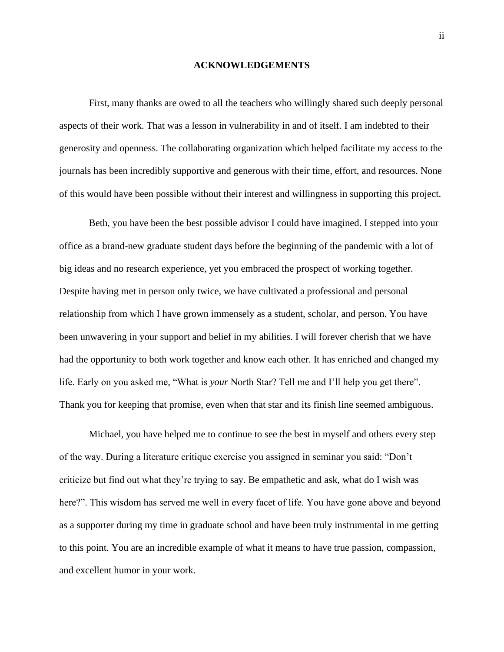#### **ACKNOWLEDGEMENTS**

First, many thanks are owed to all the teachers who willingly shared such deeply personal aspects of their work. That was a lesson in vulnerability in and of itself. I am indebted to their generosity and openness. The collaborating organization which helped facilitate my access to the journals has been incredibly supportive and generous with their time, effort, and resources. None of this would have been possible without their interest and willingness in supporting this project.

Beth, you have been the best possible advisor I could have imagined. I stepped into your office as a brand-new graduate student days before the beginning of the pandemic with a lot of big ideas and no research experience, yet you embraced the prospect of working together. Despite having met in person only twice, we have cultivated a professional and personal relationship from which I have grown immensely as a student, scholar, and person. You have been unwavering in your support and belief in my abilities. I will forever cherish that we have had the opportunity to both work together and know each other. It has enriched and changed my life. Early on you asked me, "What is *your* North Star? Tell me and I'll help you get there". Thank you for keeping that promise, even when that star and its finish line seemed ambiguous.

Michael, you have helped me to continue to see the best in myself and others every step of the way. During a literature critique exercise you assigned in seminar you said: "Don't criticize but find out what they're trying to say. Be empathetic and ask, what do I wish was here?". This wisdom has served me well in every facet of life. You have gone above and beyond as a supporter during my time in graduate school and have been truly instrumental in me getting to this point. You are an incredible example of what it means to have true passion, compassion, and excellent humor in your work.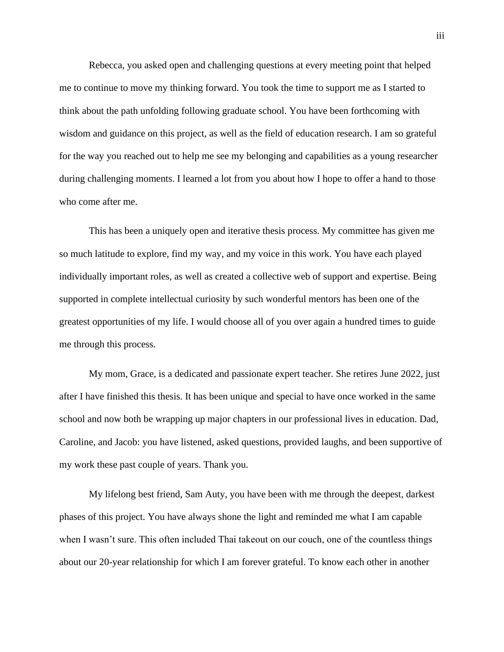Rebecca, you asked open and challenging questions at every meeting point that helped me to continue to move my thinking forward. You took the time to support me as I started to think about the path unfolding following graduate school. You have been forthcoming with wisdom and guidance on this project, as well as the field of education research. I am so grateful for the way you reached out to help me see my belonging and capabilities as a young researcher during challenging moments. I learned a lot from you about how I hope to offer a hand to those who come after me.

This has been a uniquely open and iterative thesis process. My committee has given me so much latitude to explore, find my way, and my voice in this work. You have each played individually important roles, as well as created a collective web of support and expertise. Being supported in complete intellectual curiosity by such wonderful mentors has been one of the greatest opportunities of my life. I would choose all of you over again a hundred times to guide me through this process.

My mom, Grace, is a dedicated and passionate expert teacher. She retires June 2022, just after I have finished this thesis. It has been unique and special to have once worked in the same school and now both be wrapping up major chapters in our professional lives in education. Dad, Caroline, and Jacob: you have listened, asked questions, provided laughs, and been supportive of my work these past couple of years. Thank you.

My lifelong best friend, Sam Auty, you have been with me through the deepest, darkest phases of this project. You have always shone the light and reminded me what I am capable when I wasn't sure. This often included Thai takeout on our couch, one of the countless things about our 20-year relationship for which I am forever grateful. To know each other in another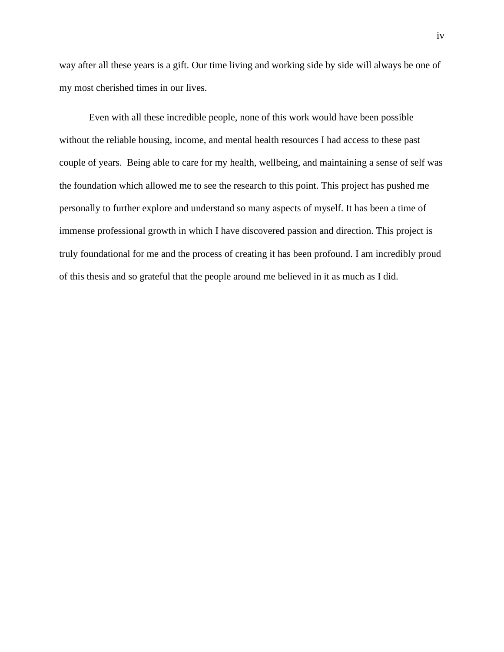way after all these years is a gift. Our time living and working side by side will always be one of my most cherished times in our lives.

Even with all these incredible people, none of this work would have been possible without the reliable housing, income, and mental health resources I had access to these past couple of years. Being able to care for my health, wellbeing, and maintaining a sense of self was the foundation which allowed me to see the research to this point. This project has pushed me personally to further explore and understand so many aspects of myself. It has been a time of immense professional growth in which I have discovered passion and direction. This project is truly foundational for me and the process of creating it has been profound. I am incredibly proud of this thesis and so grateful that the people around me believed in it as much as I did.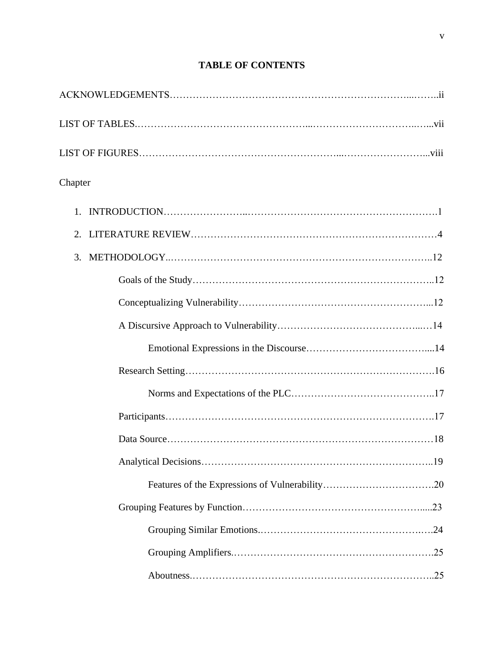| Chapter |  |
|---------|--|
|         |  |
| 2.      |  |
| 3.      |  |
|         |  |
|         |  |
|         |  |
|         |  |
|         |  |
|         |  |
|         |  |
|         |  |
|         |  |
|         |  |
|         |  |
|         |  |
|         |  |
|         |  |

## **TABLE OF CONTENTS**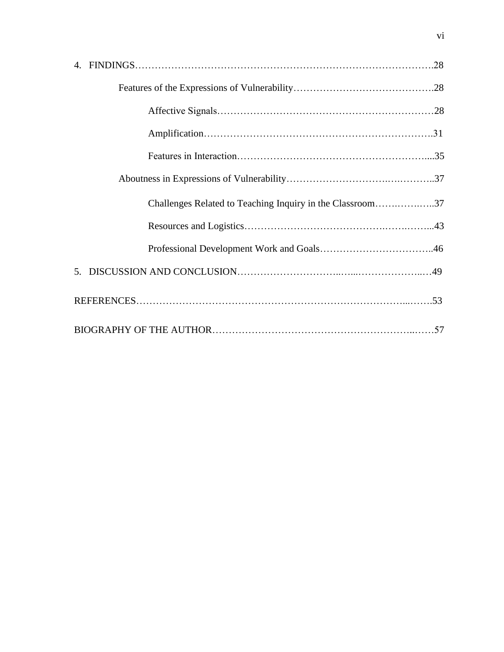| Challenges Related to Teaching Inquiry in the Classroom37 |  |
|-----------------------------------------------------------|--|
|                                                           |  |
|                                                           |  |
|                                                           |  |
|                                                           |  |
|                                                           |  |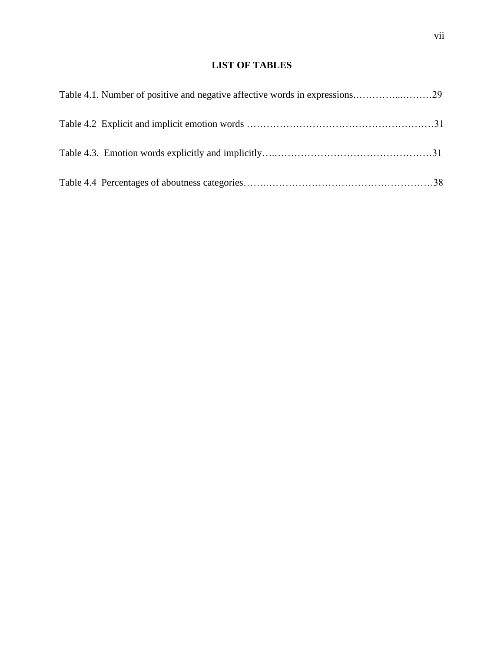## **LIST OF TABLES**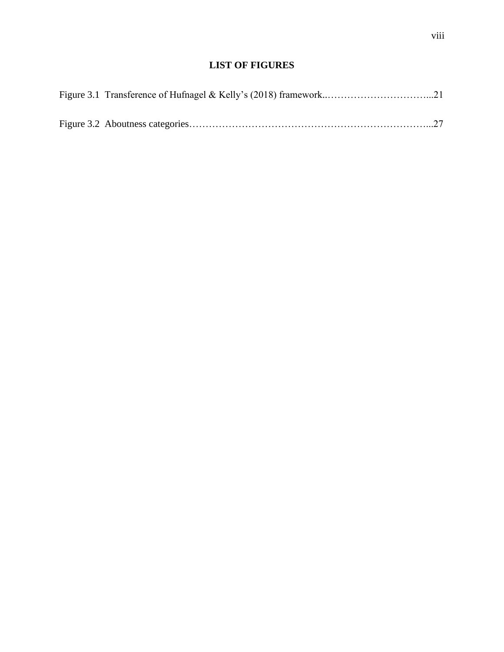## **LIST OF FIGURES**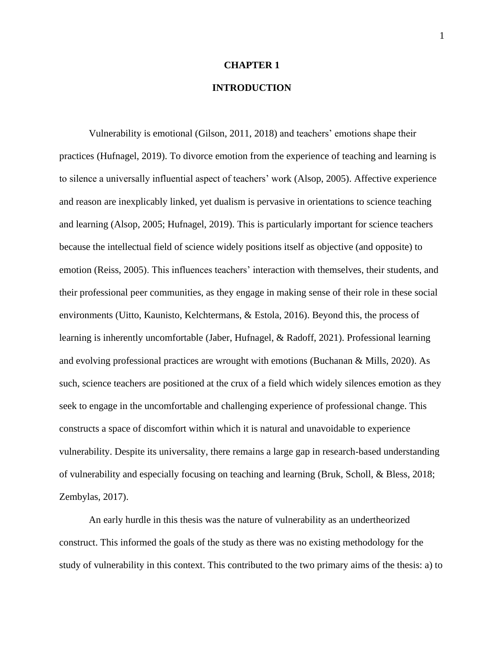## **CHAPTER 1**

## **INTRODUCTION**

Vulnerability is emotional (Gilson, 2011, 2018) and teachers' emotions shape their practices (Hufnagel, 2019). To divorce emotion from the experience of teaching and learning is to silence a universally influential aspect of teachers' work (Alsop, 2005). Affective experience and reason are inexplicably linked, yet dualism is pervasive in orientations to science teaching and learning (Alsop, 2005; Hufnagel, 2019). This is particularly important for science teachers because the intellectual field of science widely positions itself as objective (and opposite) to emotion (Reiss, 2005). This influences teachers' interaction with themselves, their students, and their professional peer communities, as they engage in making sense of their role in these social environments (Uitto, Kaunisto, Kelchtermans, & Estola, 2016). Beyond this, the process of learning is inherently uncomfortable (Jaber, Hufnagel, & Radoff, 2021). Professional learning and evolving professional practices are wrought with emotions (Buchanan & Mills, 2020). As such, science teachers are positioned at the crux of a field which widely silences emotion as they seek to engage in the uncomfortable and challenging experience of professional change. This constructs a space of discomfort within which it is natural and unavoidable to experience vulnerability. Despite its universality, there remains a large gap in research-based understanding of vulnerability and especially focusing on teaching and learning (Bruk, Scholl, & Bless, 2018; Zembylas, 2017).

An early hurdle in this thesis was the nature of vulnerability as an undertheorized construct. This informed the goals of the study as there was no existing methodology for the study of vulnerability in this context. This contributed to the two primary aims of the thesis: a) to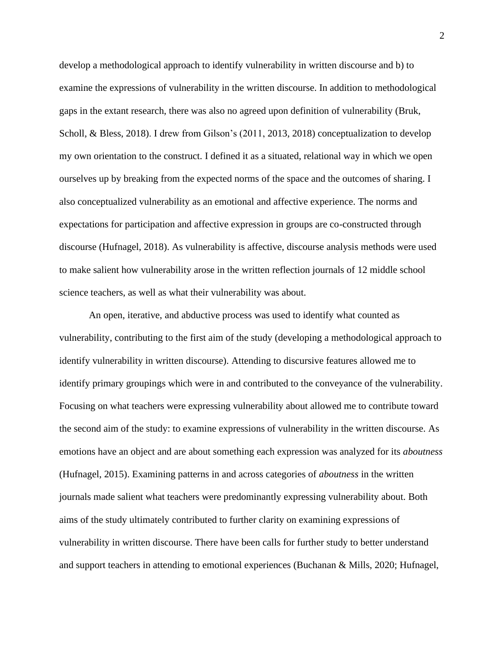develop a methodological approach to identify vulnerability in written discourse and b) to examine the expressions of vulnerability in the written discourse. In addition to methodological gaps in the extant research, there was also no agreed upon definition of vulnerability (Bruk, Scholl, & Bless, 2018). I drew from Gilson's (2011, 2013, 2018) conceptualization to develop my own orientation to the construct. I defined it as a situated, relational way in which we open ourselves up by breaking from the expected norms of the space and the outcomes of sharing. I also conceptualized vulnerability as an emotional and affective experience. The norms and expectations for participation and affective expression in groups are co-constructed through discourse (Hufnagel, 2018). As vulnerability is affective, discourse analysis methods were used to make salient how vulnerability arose in the written reflection journals of 12 middle school science teachers, as well as what their vulnerability was about.

An open, iterative, and abductive process was used to identify what counted as vulnerability, contributing to the first aim of the study (developing a methodological approach to identify vulnerability in written discourse). Attending to discursive features allowed me to identify primary groupings which were in and contributed to the conveyance of the vulnerability. Focusing on what teachers were expressing vulnerability about allowed me to contribute toward the second aim of the study: to examine expressions of vulnerability in the written discourse. As emotions have an object and are about something each expression was analyzed for its *aboutness*  (Hufnagel, 2015). Examining patterns in and across categories of *aboutness* in the written journals made salient what teachers were predominantly expressing vulnerability about. Both aims of the study ultimately contributed to further clarity on examining expressions of vulnerability in written discourse. There have been calls for further study to better understand and support teachers in attending to emotional experiences (Buchanan & Mills, 2020; Hufnagel,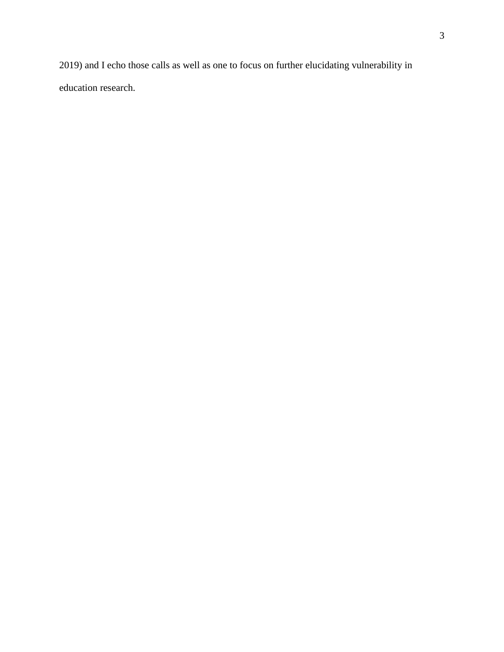2019) and I echo those calls as well as one to focus on further elucidating vulnerability in education research.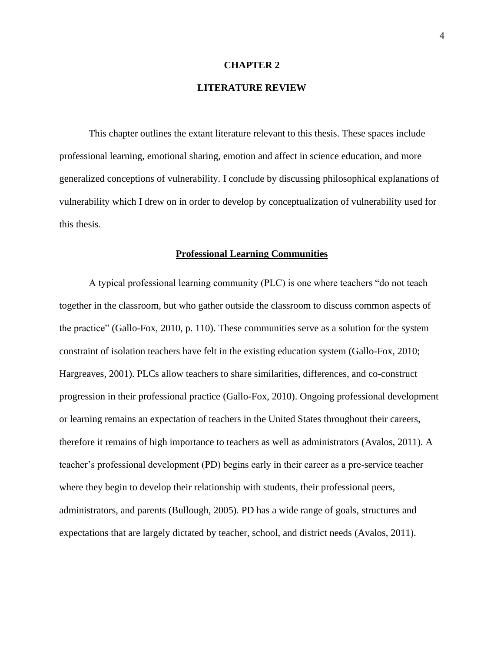#### **CHAPTER 2**

## **LITERATURE REVIEW**

This chapter outlines the extant literature relevant to this thesis. These spaces include professional learning, emotional sharing, emotion and affect in science education, and more generalized conceptions of vulnerability. I conclude by discussing philosophical explanations of vulnerability which I drew on in order to develop by conceptualization of vulnerability used for this thesis.

## **Professional Learning Communities**

A typical professional learning community (PLC) is one where teachers "do not teach together in the classroom, but who gather outside the classroom to discuss common aspects of the practice" (Gallo-Fox, 2010, p. 110). These communities serve as a solution for the system constraint of isolation teachers have felt in the existing education system (Gallo-Fox, 2010; Hargreaves, 2001). PLCs allow teachers to share similarities, differences, and co-construct progression in their professional practice (Gallo-Fox, 2010). Ongoing professional development or learning remains an expectation of teachers in the United States throughout their careers, therefore it remains of high importance to teachers as well as administrators (Avalos, 2011). A teacher's professional development (PD) begins early in their career as a pre-service teacher where they begin to develop their relationship with students, their professional peers, administrators, and parents (Bullough, 2005). PD has a wide range of goals, structures and expectations that are largely dictated by teacher, school, and district needs (Avalos, 2011).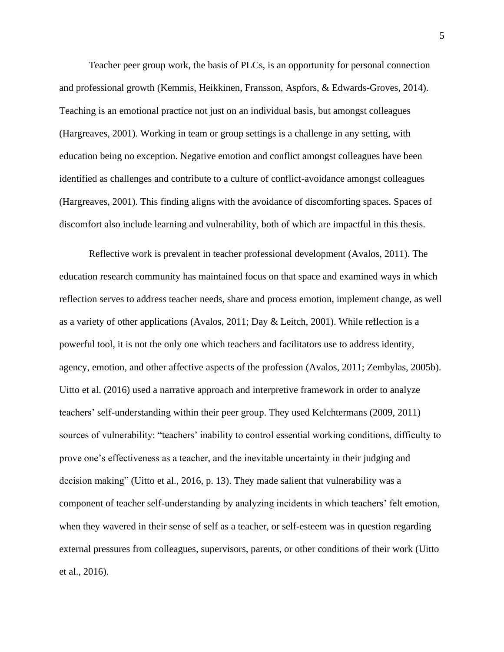Teacher peer group work, the basis of PLCs, is an opportunity for personal connection and professional growth (Kemmis, Heikkinen, Fransson, Aspfors, & Edwards-Groves, 2014). Teaching is an emotional practice not just on an individual basis, but amongst colleagues (Hargreaves, 2001). Working in team or group settings is a challenge in any setting, with education being no exception. Negative emotion and conflict amongst colleagues have been identified as challenges and contribute to a culture of conflict-avoidance amongst colleagues (Hargreaves, 2001). This finding aligns with the avoidance of discomforting spaces. Spaces of discomfort also include learning and vulnerability, both of which are impactful in this thesis.

Reflective work is prevalent in teacher professional development (Avalos, 2011). The education research community has maintained focus on that space and examined ways in which reflection serves to address teacher needs, share and process emotion, implement change, as well as a variety of other applications (Avalos, 2011; Day & Leitch, 2001). While reflection is a powerful tool, it is not the only one which teachers and facilitators use to address identity, agency, emotion, and other affective aspects of the profession (Avalos, 2011; Zembylas, 2005b). Uitto et al. (2016) used a narrative approach and interpretive framework in order to analyze teachers' self-understanding within their peer group. They used Kelchtermans (2009, 2011) sources of vulnerability: "teachers' inability to control essential working conditions, difficulty to prove one's effectiveness as a teacher, and the inevitable uncertainty in their judging and decision making" (Uitto et al., 2016, p. 13). They made salient that vulnerability was a component of teacher self-understanding by analyzing incidents in which teachers' felt emotion, when they wavered in their sense of self as a teacher, or self-esteem was in question regarding external pressures from colleagues, supervisors, parents, or other conditions of their work (Uitto et al., 2016).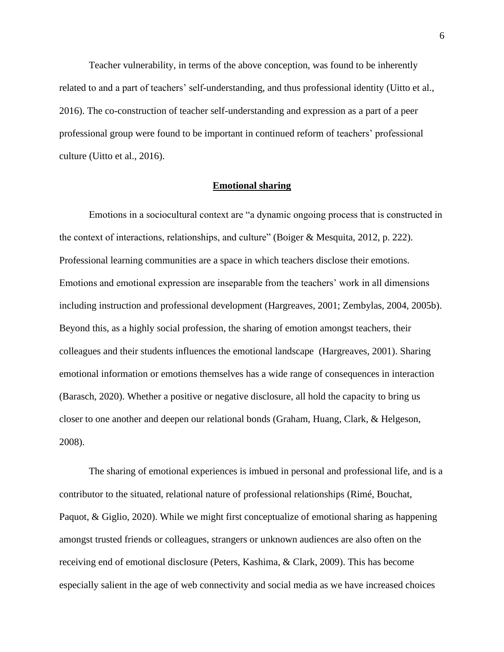Teacher vulnerability, in terms of the above conception, was found to be inherently related to and a part of teachers' self-understanding, and thus professional identity (Uitto et al., 2016). The co-construction of teacher self-understanding and expression as a part of a peer professional group were found to be important in continued reform of teachers' professional culture (Uitto et al., 2016).

## **Emotional sharing**

Emotions in a sociocultural context are "a dynamic ongoing process that is constructed in the context of interactions, relationships, and culture" (Boiger & Mesquita, 2012, p. 222). Professional learning communities are a space in which teachers disclose their emotions. Emotions and emotional expression are inseparable from the teachers' work in all dimensions including instruction and professional development (Hargreaves, 2001; Zembylas, 2004, 2005b). Beyond this, as a highly social profession, the sharing of emotion amongst teachers, their colleagues and their students influences the emotional landscape (Hargreaves, 2001). Sharing emotional information or emotions themselves has a wide range of consequences in interaction (Barasch, 2020). Whether a positive or negative disclosure, all hold the capacity to bring us closer to one another and deepen our relational bonds (Graham, Huang, Clark, & Helgeson, 2008).

The sharing of emotional experiences is imbued in personal and professional life, and is a contributor to the situated, relational nature of professional relationships (Rimé, Bouchat, Paquot, & Giglio, 2020). While we might first conceptualize of emotional sharing as happening amongst trusted friends or colleagues, strangers or unknown audiences are also often on the receiving end of emotional disclosure (Peters, Kashima, & Clark, 2009). This has become especially salient in the age of web connectivity and social media as we have increased choices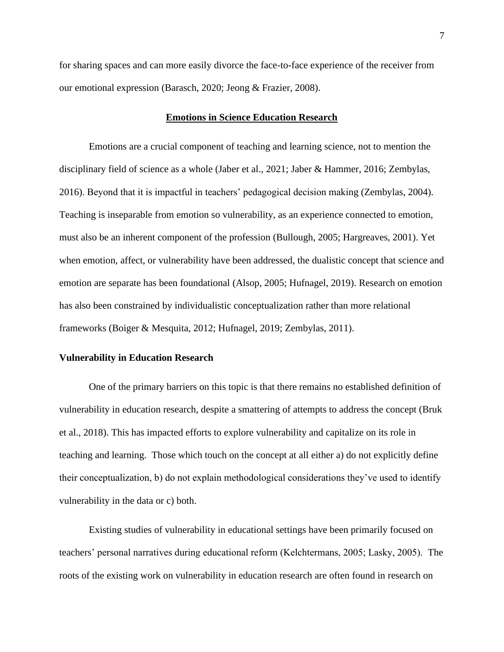for sharing spaces and can more easily divorce the face-to-face experience of the receiver from our emotional expression (Barasch, 2020; Jeong & Frazier, 2008).

#### **Emotions in Science Education Research**

Emotions are a crucial component of teaching and learning science, not to mention the disciplinary field of science as a whole (Jaber et al., 2021; Jaber & Hammer, 2016; Zembylas, 2016). Beyond that it is impactful in teachers' pedagogical decision making (Zembylas, 2004). Teaching is inseparable from emotion so vulnerability, as an experience connected to emotion, must also be an inherent component of the profession (Bullough, 2005; Hargreaves, 2001). Yet when emotion, affect, or vulnerability have been addressed, the dualistic concept that science and emotion are separate has been foundational (Alsop, 2005; Hufnagel, 2019). Research on emotion has also been constrained by individualistic conceptualization rather than more relational frameworks (Boiger & Mesquita, 2012; Hufnagel, 2019; Zembylas, 2011).

## **Vulnerability in Education Research**

One of the primary barriers on this topic is that there remains no established definition of vulnerability in education research, despite a smattering of attempts to address the concept (Bruk et al., 2018). This has impacted efforts to explore vulnerability and capitalize on its role in teaching and learning. Those which touch on the concept at all either a) do not explicitly define their conceptualization, b) do not explain methodological considerations they've used to identify vulnerability in the data or c) both.

Existing studies of vulnerability in educational settings have been primarily focused on teachers' personal narratives during educational reform (Kelchtermans, 2005; Lasky, 2005). The roots of the existing work on vulnerability in education research are often found in research on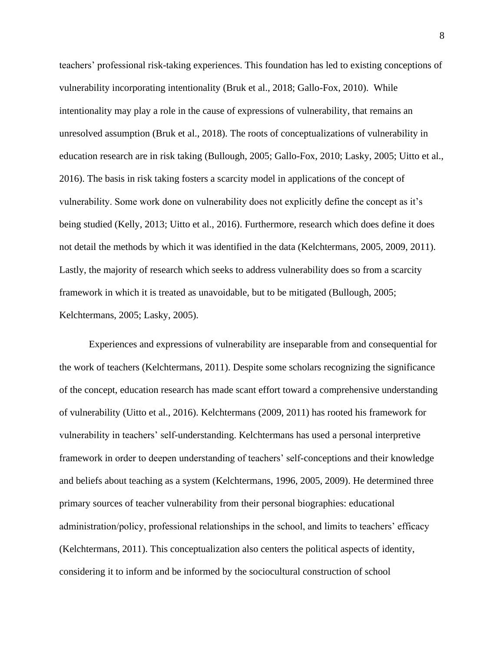teachers' professional risk-taking experiences. This foundation has led to existing conceptions of vulnerability incorporating intentionality (Bruk et al., 2018; Gallo-Fox, 2010). While intentionality may play a role in the cause of expressions of vulnerability, that remains an unresolved assumption (Bruk et al., 2018). The roots of conceptualizations of vulnerability in education research are in risk taking (Bullough, 2005; Gallo-Fox, 2010; Lasky, 2005; Uitto et al., 2016). The basis in risk taking fosters a scarcity model in applications of the concept of vulnerability. Some work done on vulnerability does not explicitly define the concept as it's being studied (Kelly, 2013; Uitto et al., 2016). Furthermore, research which does define it does not detail the methods by which it was identified in the data (Kelchtermans, 2005, 2009, 2011). Lastly, the majority of research which seeks to address vulnerability does so from a scarcity framework in which it is treated as unavoidable, but to be mitigated (Bullough, 2005; Kelchtermans, 2005; Lasky, 2005).

Experiences and expressions of vulnerability are inseparable from and consequential for the work of teachers (Kelchtermans, 2011). Despite some scholars recognizing the significance of the concept, education research has made scant effort toward a comprehensive understanding of vulnerability (Uitto et al., 2016). Kelchtermans (2009, 2011) has rooted his framework for vulnerability in teachers' self-understanding. Kelchtermans has used a personal interpretive framework in order to deepen understanding of teachers' self-conceptions and their knowledge and beliefs about teaching as a system (Kelchtermans, 1996, 2005, 2009). He determined three primary sources of teacher vulnerability from their personal biographies: educational administration/policy, professional relationships in the school, and limits to teachers' efficacy (Kelchtermans, 2011). This conceptualization also centers the political aspects of identity, considering it to inform and be informed by the sociocultural construction of school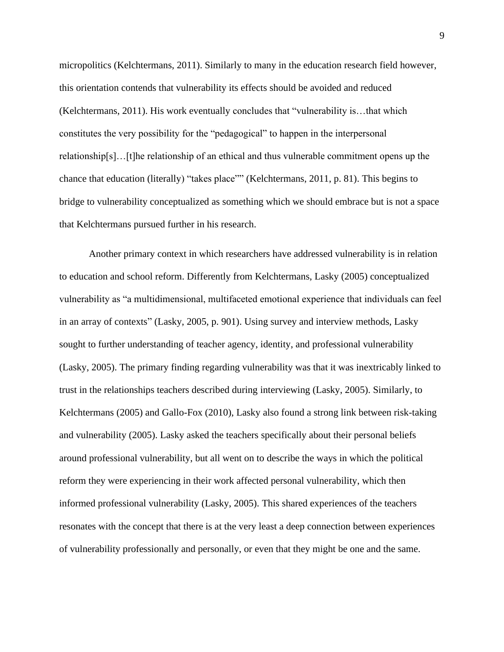micropolitics (Kelchtermans, 2011). Similarly to many in the education research field however, this orientation contends that vulnerability its effects should be avoided and reduced (Kelchtermans, 2011). His work eventually concludes that "vulnerability is…that which constitutes the very possibility for the "pedagogical" to happen in the interpersonal relationship[s]…[t]he relationship of an ethical and thus vulnerable commitment opens up the chance that education (literally) "takes place"" (Kelchtermans, 2011, p. 81). This begins to bridge to vulnerability conceptualized as something which we should embrace but is not a space that Kelchtermans pursued further in his research.

Another primary context in which researchers have addressed vulnerability is in relation to education and school reform. Differently from Kelchtermans, Lasky (2005) conceptualized vulnerability as "a multidimensional, multifaceted emotional experience that individuals can feel in an array of contexts" (Lasky, 2005, p. 901). Using survey and interview methods, Lasky sought to further understanding of teacher agency, identity, and professional vulnerability (Lasky, 2005). The primary finding regarding vulnerability was that it was inextricably linked to trust in the relationships teachers described during interviewing (Lasky, 2005). Similarly, to Kelchtermans (2005) and Gallo-Fox (2010), Lasky also found a strong link between risk-taking and vulnerability (2005). Lasky asked the teachers specifically about their personal beliefs around professional vulnerability, but all went on to describe the ways in which the political reform they were experiencing in their work affected personal vulnerability, which then informed professional vulnerability (Lasky, 2005). This shared experiences of the teachers resonates with the concept that there is at the very least a deep connection between experiences of vulnerability professionally and personally, or even that they might be one and the same.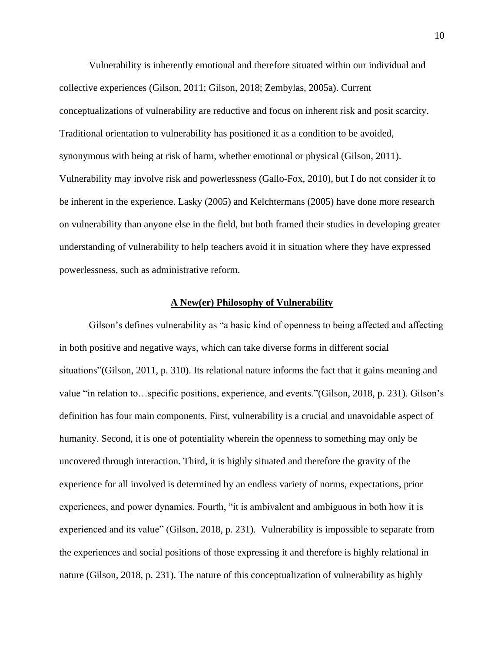Vulnerability is inherently emotional and therefore situated within our individual and collective experiences (Gilson, 2011; Gilson, 2018; Zembylas, 2005a). Current conceptualizations of vulnerability are reductive and focus on inherent risk and posit scarcity. Traditional orientation to vulnerability has positioned it as a condition to be avoided, synonymous with being at risk of harm, whether emotional or physical (Gilson, 2011). Vulnerability may involve risk and powerlessness (Gallo-Fox, 2010), but I do not consider it to be inherent in the experience. Lasky (2005) and Kelchtermans (2005) have done more research on vulnerability than anyone else in the field, but both framed their studies in developing greater understanding of vulnerability to help teachers avoid it in situation where they have expressed powerlessness, such as administrative reform.

#### **A New(er) Philosophy of Vulnerability**

Gilson's defines vulnerability as "a basic kind of openness to being affected and affecting in both positive and negative ways, which can take diverse forms in different social situations"(Gilson, 2011, p. 310). Its relational nature informs the fact that it gains meaning and value "in relation to…specific positions, experience, and events."(Gilson, 2018, p. 231). Gilson's definition has four main components. First, vulnerability is a crucial and unavoidable aspect of humanity. Second, it is one of potentiality wherein the openness to something may only be uncovered through interaction. Third, it is highly situated and therefore the gravity of the experience for all involved is determined by an endless variety of norms, expectations, prior experiences, and power dynamics. Fourth, "it is ambivalent and ambiguous in both how it is experienced and its value" (Gilson, 2018, p. 231). Vulnerability is impossible to separate from the experiences and social positions of those expressing it and therefore is highly relational in nature (Gilson, 2018, p. 231). The nature of this conceptualization of vulnerability as highly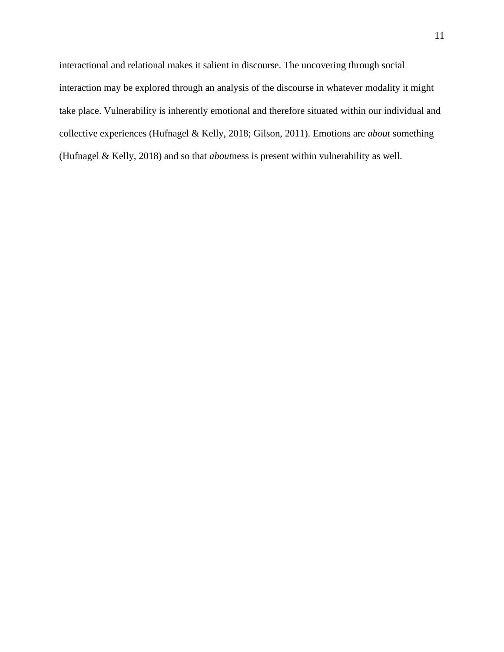interactional and relational makes it salient in discourse. The uncovering through social interaction may be explored through an analysis of the discourse in whatever modality it might take place. Vulnerability is inherently emotional and therefore situated within our individual and collective experiences (Hufnagel & Kelly, 2018; Gilson, 2011). Emotions are *about* something (Hufnagel & Kelly, 2018) and so that *about*ness is present within vulnerability as well.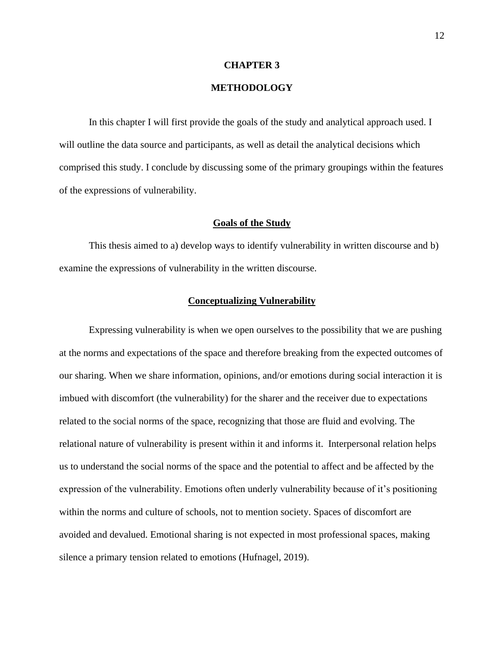#### **CHAPTER 3**

## **METHODOLOGY**

In this chapter I will first provide the goals of the study and analytical approach used. I will outline the data source and participants, as well as detail the analytical decisions which comprised this study. I conclude by discussing some of the primary groupings within the features of the expressions of vulnerability.

## **Goals of the Study**

This thesis aimed to a) develop ways to identify vulnerability in written discourse and b) examine the expressions of vulnerability in the written discourse.

## **Conceptualizing Vulnerability**

Expressing vulnerability is when we open ourselves to the possibility that we are pushing at the norms and expectations of the space and therefore breaking from the expected outcomes of our sharing. When we share information, opinions, and/or emotions during social interaction it is imbued with discomfort (the vulnerability) for the sharer and the receiver due to expectations related to the social norms of the space, recognizing that those are fluid and evolving. The relational nature of vulnerability is present within it and informs it. Interpersonal relation helps us to understand the social norms of the space and the potential to affect and be affected by the expression of the vulnerability. Emotions often underly vulnerability because of it's positioning within the norms and culture of schools, not to mention society. Spaces of discomfort are avoided and devalued. Emotional sharing is not expected in most professional spaces, making silence a primary tension related to emotions (Hufnagel, 2019).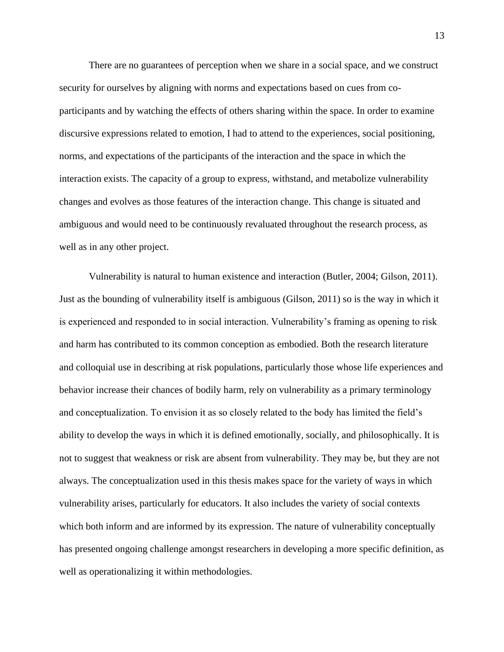There are no guarantees of perception when we share in a social space, and we construct security for ourselves by aligning with norms and expectations based on cues from coparticipants and by watching the effects of others sharing within the space. In order to examine discursive expressions related to emotion, I had to attend to the experiences, social positioning, norms, and expectations of the participants of the interaction and the space in which the interaction exists. The capacity of a group to express, withstand, and metabolize vulnerability changes and evolves as those features of the interaction change. This change is situated and ambiguous and would need to be continuously revaluated throughout the research process, as well as in any other project.

Vulnerability is natural to human existence and interaction (Butler, 2004; Gilson, 2011). Just as the bounding of vulnerability itself is ambiguous (Gilson, 2011) so is the way in which it is experienced and responded to in social interaction. Vulnerability's framing as opening to risk and harm has contributed to its common conception as embodied. Both the research literature and colloquial use in describing at risk populations, particularly those whose life experiences and behavior increase their chances of bodily harm, rely on vulnerability as a primary terminology and conceptualization. To envision it as so closely related to the body has limited the field's ability to develop the ways in which it is defined emotionally, socially, and philosophically. It is not to suggest that weakness or risk are absent from vulnerability. They may be, but they are not always. The conceptualization used in this thesis makes space for the variety of ways in which vulnerability arises, particularly for educators. It also includes the variety of social contexts which both inform and are informed by its expression. The nature of vulnerability conceptually has presented ongoing challenge amongst researchers in developing a more specific definition, as well as operationalizing it within methodologies.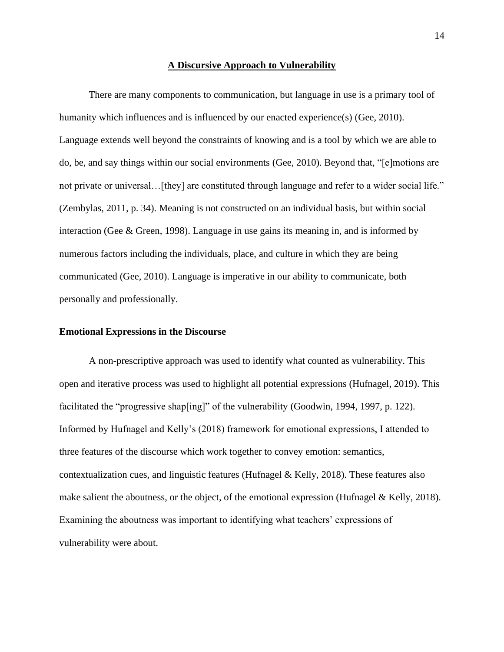#### **A Discursive Approach to Vulnerability**

There are many components to communication, but language in use is a primary tool of humanity which influences and is influenced by our enacted experience(s) (Gee, 2010). Language extends well beyond the constraints of knowing and is a tool by which we are able to do, be, and say things within our social environments (Gee, 2010). Beyond that, "[e]motions are not private or universal…[they] are constituted through language and refer to a wider social life." (Zembylas, 2011, p. 34). Meaning is not constructed on an individual basis, but within social interaction (Gee & Green, 1998). Language in use gains its meaning in, and is informed by numerous factors including the individuals, place, and culture in which they are being communicated (Gee, 2010). Language is imperative in our ability to communicate, both personally and professionally.

#### **Emotional Expressions in the Discourse**

A non-prescriptive approach was used to identify what counted as vulnerability. This open and iterative process was used to highlight all potential expressions (Hufnagel, 2019). This facilitated the "progressive shap[ing]" of the vulnerability (Goodwin, 1994, 1997, p. 122). Informed by Hufnagel and Kelly's (2018) framework for emotional expressions, I attended to three features of the discourse which work together to convey emotion: semantics, contextualization cues, and linguistic features (Hufnagel & Kelly, 2018). These features also make salient the aboutness, or the object, of the emotional expression (Hufnagel & Kelly, 2018). Examining the aboutness was important to identifying what teachers' expressions of vulnerability were about.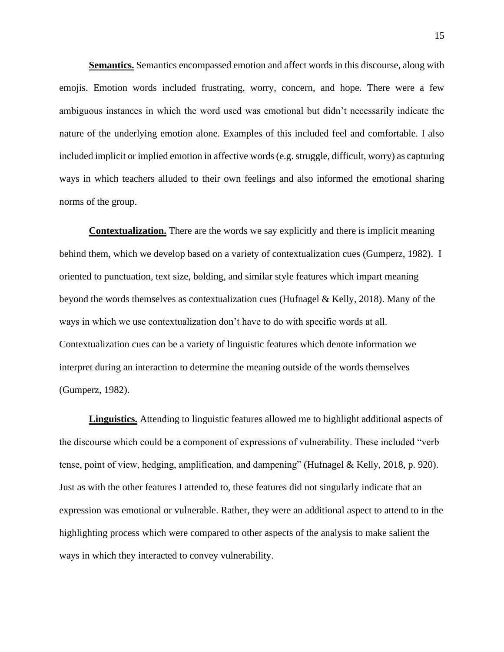**Semantics.** Semantics encompassed emotion and affect words in this discourse, along with emojis. Emotion words included frustrating, worry, concern, and hope. There were a few ambiguous instances in which the word used was emotional but didn't necessarily indicate the nature of the underlying emotion alone. Examples of this included feel and comfortable. I also included implicit or implied emotion in affective words (e.g. struggle, difficult, worry) as capturing ways in which teachers alluded to their own feelings and also informed the emotional sharing norms of the group.

**Contextualization.** There are the words we say explicitly and there is implicit meaning behind them, which we develop based on a variety of contextualization cues (Gumperz, 1982). I oriented to punctuation, text size, bolding, and similar style features which impart meaning beyond the words themselves as contextualization cues (Hufnagel & Kelly, 2018). Many of the ways in which we use contextualization don't have to do with specific words at all. Contextualization cues can be a variety of linguistic features which denote information we interpret during an interaction to determine the meaning outside of the words themselves (Gumperz, 1982).

**Linguistics.** Attending to linguistic features allowed me to highlight additional aspects of the discourse which could be a component of expressions of vulnerability. These included "verb tense, point of view, hedging, amplification, and dampening" (Hufnagel & Kelly, 2018, p. 920). Just as with the other features I attended to, these features did not singularly indicate that an expression was emotional or vulnerable. Rather, they were an additional aspect to attend to in the highlighting process which were compared to other aspects of the analysis to make salient the ways in which they interacted to convey vulnerability.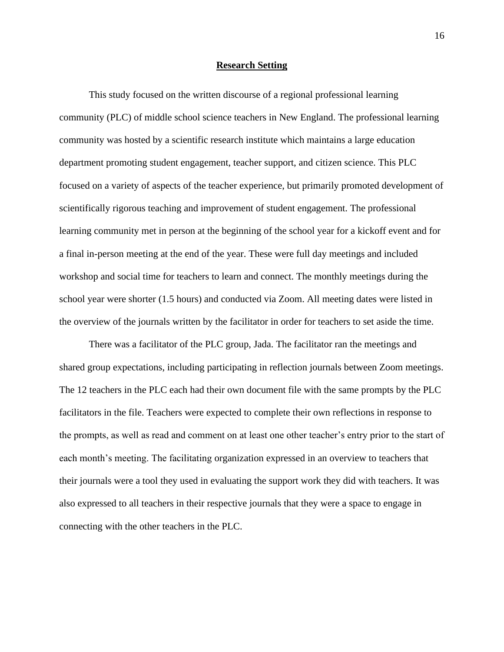#### **Research Setting**

This study focused on the written discourse of a regional professional learning community (PLC) of middle school science teachers in New England. The professional learning community was hosted by a scientific research institute which maintains a large education department promoting student engagement, teacher support, and citizen science. This PLC focused on a variety of aspects of the teacher experience, but primarily promoted development of scientifically rigorous teaching and improvement of student engagement. The professional learning community met in person at the beginning of the school year for a kickoff event and for a final in-person meeting at the end of the year. These were full day meetings and included workshop and social time for teachers to learn and connect. The monthly meetings during the school year were shorter (1.5 hours) and conducted via Zoom. All meeting dates were listed in the overview of the journals written by the facilitator in order for teachers to set aside the time.

There was a facilitator of the PLC group, Jada. The facilitator ran the meetings and shared group expectations, including participating in reflection journals between Zoom meetings. The 12 teachers in the PLC each had their own document file with the same prompts by the PLC facilitators in the file. Teachers were expected to complete their own reflections in response to the prompts, as well as read and comment on at least one other teacher's entry prior to the start of each month's meeting. The facilitating organization expressed in an overview to teachers that their journals were a tool they used in evaluating the support work they did with teachers. It was also expressed to all teachers in their respective journals that they were a space to engage in connecting with the other teachers in the PLC.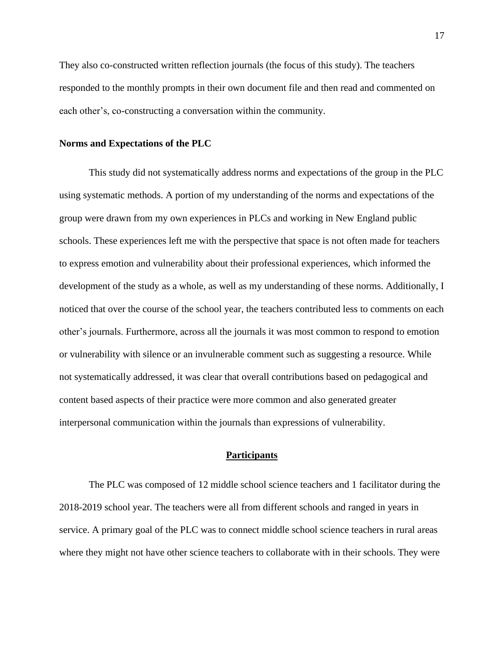They also co-constructed written reflection journals (the focus of this study). The teachers responded to the monthly prompts in their own document file and then read and commented on each other's, co-constructing a conversation within the community.

#### **Norms and Expectations of the PLC**

This study did not systematically address norms and expectations of the group in the PLC using systematic methods. A portion of my understanding of the norms and expectations of the group were drawn from my own experiences in PLCs and working in New England public schools. These experiences left me with the perspective that space is not often made for teachers to express emotion and vulnerability about their professional experiences, which informed the development of the study as a whole, as well as my understanding of these norms. Additionally, I noticed that over the course of the school year, the teachers contributed less to comments on each other's journals. Furthermore, across all the journals it was most common to respond to emotion or vulnerability with silence or an invulnerable comment such as suggesting a resource. While not systematically addressed, it was clear that overall contributions based on pedagogical and content based aspects of their practice were more common and also generated greater interpersonal communication within the journals than expressions of vulnerability.

## **Participants**

The PLC was composed of 12 middle school science teachers and 1 facilitator during the 2018-2019 school year. The teachers were all from different schools and ranged in years in service. A primary goal of the PLC was to connect middle school science teachers in rural areas where they might not have other science teachers to collaborate with in their schools. They were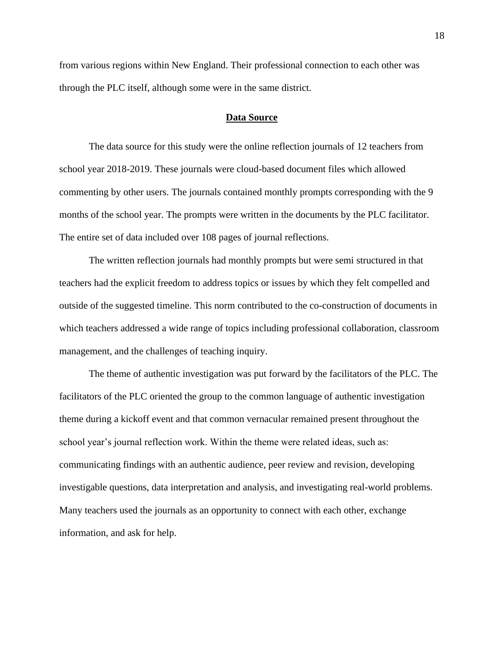from various regions within New England. Their professional connection to each other was through the PLC itself, although some were in the same district.

## **Data Source**

The data source for this study were the online reflection journals of 12 teachers from school year 2018-2019. These journals were cloud-based document files which allowed commenting by other users. The journals contained monthly prompts corresponding with the 9 months of the school year. The prompts were written in the documents by the PLC facilitator. The entire set of data included over 108 pages of journal reflections.

The written reflection journals had monthly prompts but were semi structured in that teachers had the explicit freedom to address topics or issues by which they felt compelled and outside of the suggested timeline. This norm contributed to the co-construction of documents in which teachers addressed a wide range of topics including professional collaboration, classroom management, and the challenges of teaching inquiry.

The theme of authentic investigation was put forward by the facilitators of the PLC. The facilitators of the PLC oriented the group to the common language of authentic investigation theme during a kickoff event and that common vernacular remained present throughout the school year's journal reflection work. Within the theme were related ideas, such as: communicating findings with an authentic audience, peer review and revision, developing investigable questions, data interpretation and analysis, and investigating real-world problems. Many teachers used the journals as an opportunity to connect with each other, exchange information, and ask for help.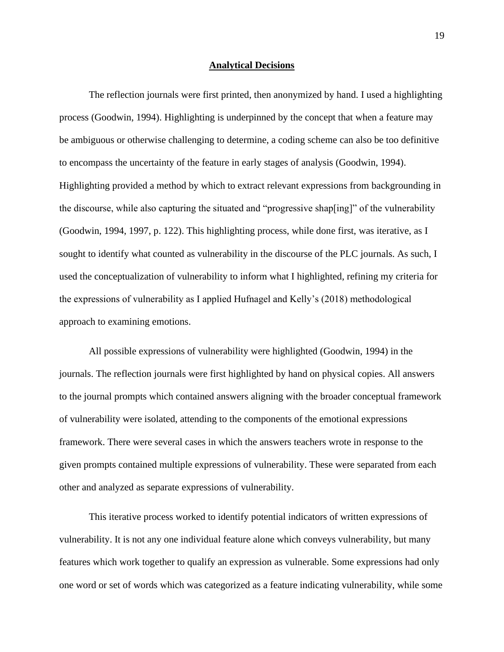#### **Analytical Decisions**

The reflection journals were first printed, then anonymized by hand. I used a highlighting process (Goodwin, 1994). Highlighting is underpinned by the concept that when a feature may be ambiguous or otherwise challenging to determine, a coding scheme can also be too definitive to encompass the uncertainty of the feature in early stages of analysis (Goodwin, 1994). Highlighting provided a method by which to extract relevant expressions from backgrounding in the discourse, while also capturing the situated and "progressive shap[ing]" of the vulnerability (Goodwin, 1994, 1997, p. 122). This highlighting process, while done first, was iterative, as I sought to identify what counted as vulnerability in the discourse of the PLC journals. As such, I used the conceptualization of vulnerability to inform what I highlighted, refining my criteria for the expressions of vulnerability as I applied Hufnagel and Kelly's (2018) methodological approach to examining emotions.

All possible expressions of vulnerability were highlighted (Goodwin, 1994) in the journals. The reflection journals were first highlighted by hand on physical copies. All answers to the journal prompts which contained answers aligning with the broader conceptual framework of vulnerability were isolated, attending to the components of the emotional expressions framework. There were several cases in which the answers teachers wrote in response to the given prompts contained multiple expressions of vulnerability. These were separated from each other and analyzed as separate expressions of vulnerability.

This iterative process worked to identify potential indicators of written expressions of vulnerability. It is not any one individual feature alone which conveys vulnerability, but many features which work together to qualify an expression as vulnerable. Some expressions had only one word or set of words which was categorized as a feature indicating vulnerability, while some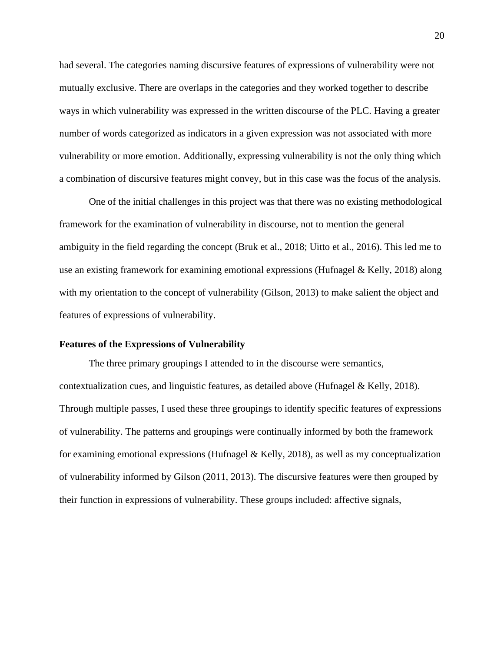had several. The categories naming discursive features of expressions of vulnerability were not mutually exclusive. There are overlaps in the categories and they worked together to describe ways in which vulnerability was expressed in the written discourse of the PLC. Having a greater number of words categorized as indicators in a given expression was not associated with more vulnerability or more emotion. Additionally, expressing vulnerability is not the only thing which a combination of discursive features might convey, but in this case was the focus of the analysis.

One of the initial challenges in this project was that there was no existing methodological framework for the examination of vulnerability in discourse, not to mention the general ambiguity in the field regarding the concept (Bruk et al., 2018; Uitto et al., 2016). This led me to use an existing framework for examining emotional expressions (Hufnagel & Kelly, 2018) along with my orientation to the concept of vulnerability (Gilson, 2013) to make salient the object and features of expressions of vulnerability.

## **Features of the Expressions of Vulnerability**

The three primary groupings I attended to in the discourse were semantics, contextualization cues, and linguistic features, as detailed above (Hufnagel & Kelly, 2018). Through multiple passes, I used these three groupings to identify specific features of expressions of vulnerability. The patterns and groupings were continually informed by both the framework for examining emotional expressions (Hufnagel & Kelly, 2018), as well as my conceptualization of vulnerability informed by Gilson (2011, 2013). The discursive features were then grouped by their function in expressions of vulnerability. These groups included: affective signals,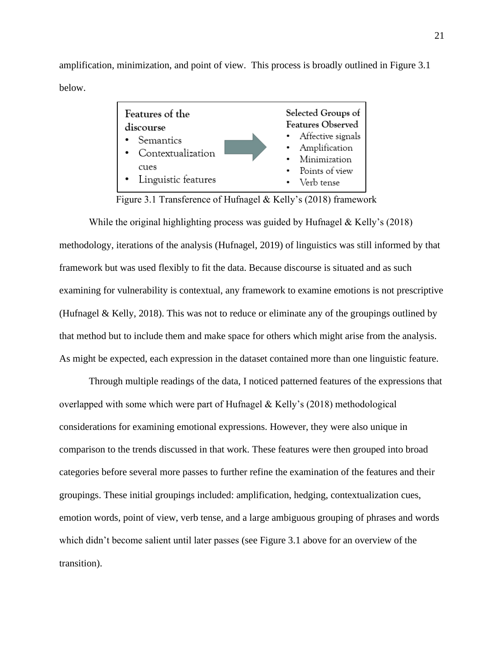amplification, minimization, and point of view. This process is broadly outlined in Figure 3.1 below.



Figure 3.1 Transference of Hufnagel & Kelly's (2018) framework

While the original highlighting process was guided by Hufnagel & Kelly's (2018) methodology, iterations of the analysis (Hufnagel, 2019) of linguistics was still informed by that framework but was used flexibly to fit the data. Because discourse is situated and as such examining for vulnerability is contextual, any framework to examine emotions is not prescriptive (Hufnagel & Kelly, 2018). This was not to reduce or eliminate any of the groupings outlined by that method but to include them and make space for others which might arise from the analysis. As might be expected, each expression in the dataset contained more than one linguistic feature.

Through multiple readings of the data, I noticed patterned features of the expressions that overlapped with some which were part of Hufnagel & Kelly's (2018) methodological considerations for examining emotional expressions. However, they were also unique in comparison to the trends discussed in that work. These features were then grouped into broad categories before several more passes to further refine the examination of the features and their groupings. These initial groupings included: amplification, hedging, contextualization cues, emotion words, point of view, verb tense, and a large ambiguous grouping of phrases and words which didn't become salient until later passes (see Figure 3.1 above for an overview of the transition).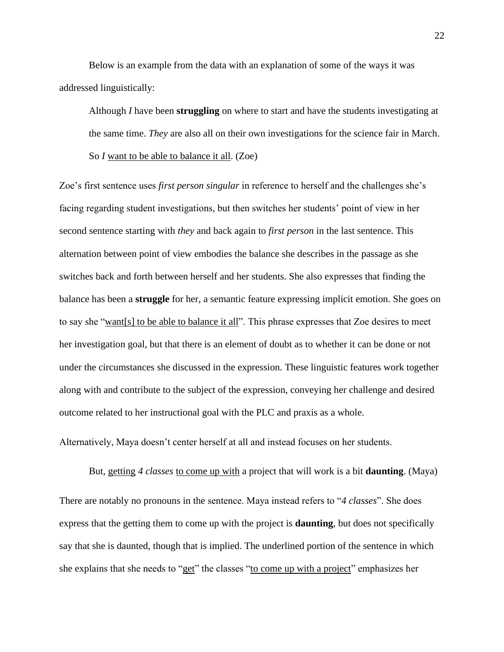Below is an example from the data with an explanation of some of the ways it was addressed linguistically:

Although *I* have been **struggling** on where to start and have the students investigating at the same time. *They* are also all on their own investigations for the science fair in March. So *I* want to be able to balance it all. (Zoe)

Zoe's first sentence uses *first person singular* in reference to herself and the challenges she's facing regarding student investigations, but then switches her students' point of view in her second sentence starting with *they* and back again to *first person* in the last sentence. This alternation between point of view embodies the balance she describes in the passage as she switches back and forth between herself and her students. She also expresses that finding the balance has been a **struggle** for her, a semantic feature expressing implicit emotion. She goes on to say she "want[s] to be able to balance it all". This phrase expresses that Zoe desires to meet her investigation goal, but that there is an element of doubt as to whether it can be done or not under the circumstances she discussed in the expression. These linguistic features work together along with and contribute to the subject of the expression, conveying her challenge and desired outcome related to her instructional goal with the PLC and praxis as a whole.

Alternatively, Maya doesn't center herself at all and instead focuses on her students.

But, getting *4 classes* to come up with a project that will work is a bit **daunting**. (Maya) There are notably no pronouns in the sentence. Maya instead refers to "*4 classes*". She does express that the getting them to come up with the project is **daunting**, but does not specifically say that she is daunted, though that is implied. The underlined portion of the sentence in which she explains that she needs to "get" the classes "to come up with a project" emphasizes her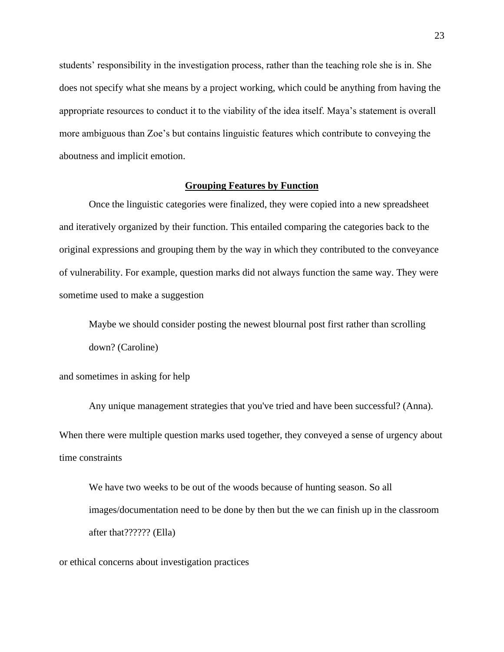students' responsibility in the investigation process, rather than the teaching role she is in. She does not specify what she means by a project working, which could be anything from having the appropriate resources to conduct it to the viability of the idea itself. Maya's statement is overall more ambiguous than Zoe's but contains linguistic features which contribute to conveying the aboutness and implicit emotion.

## **Grouping Features by Function**

Once the linguistic categories were finalized, they were copied into a new spreadsheet and iteratively organized by their function. This entailed comparing the categories back to the original expressions and grouping them by the way in which they contributed to the conveyance of vulnerability. For example, question marks did not always function the same way. They were sometime used to make a suggestion

Maybe we should consider posting the newest blournal post first rather than scrolling down? (Caroline)

and sometimes in asking for help

Any unique management strategies that you've tried and have been successful? (Anna). When there were multiple question marks used together, they conveyed a sense of urgency about time constraints

We have two weeks to be out of the woods because of hunting season. So all images/documentation need to be done by then but the we can finish up in the classroom after that?????? (Ella)

or ethical concerns about investigation practices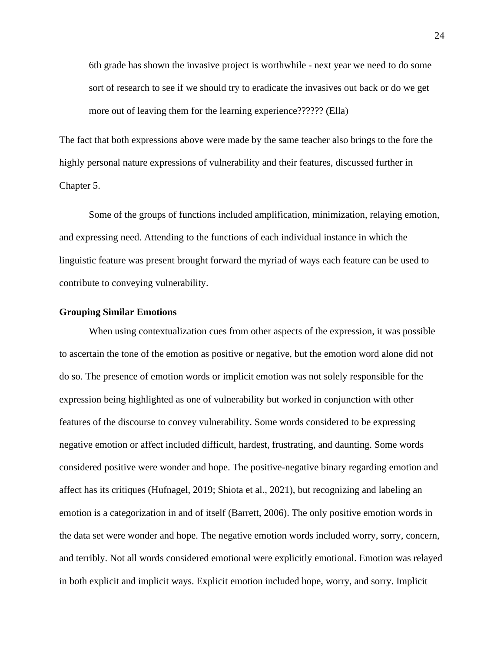6th grade has shown the invasive project is worthwhile - next year we need to do some sort of research to see if we should try to eradicate the invasives out back or do we get more out of leaving them for the learning experience?????? (Ella)

The fact that both expressions above were made by the same teacher also brings to the fore the highly personal nature expressions of vulnerability and their features, discussed further in Chapter 5.

Some of the groups of functions included amplification, minimization, relaying emotion, and expressing need. Attending to the functions of each individual instance in which the linguistic feature was present brought forward the myriad of ways each feature can be used to contribute to conveying vulnerability.

## **Grouping Similar Emotions**

When using contextualization cues from other aspects of the expression, it was possible to ascertain the tone of the emotion as positive or negative, but the emotion word alone did not do so. The presence of emotion words or implicit emotion was not solely responsible for the expression being highlighted as one of vulnerability but worked in conjunction with other features of the discourse to convey vulnerability. Some words considered to be expressing negative emotion or affect included difficult, hardest, frustrating, and daunting. Some words considered positive were wonder and hope. The positive-negative binary regarding emotion and affect has its critiques (Hufnagel, 2019; Shiota et al., 2021), but recognizing and labeling an emotion is a categorization in and of itself (Barrett, 2006). The only positive emotion words in the data set were wonder and hope. The negative emotion words included worry, sorry, concern, and terribly. Not all words considered emotional were explicitly emotional. Emotion was relayed in both explicit and implicit ways. Explicit emotion included hope, worry, and sorry. Implicit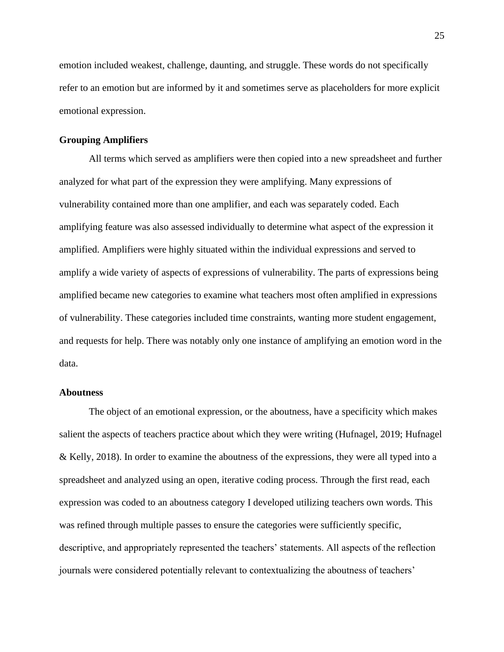emotion included weakest, challenge, daunting, and struggle. These words do not specifically refer to an emotion but are informed by it and sometimes serve as placeholders for more explicit emotional expression.

## **Grouping Amplifiers**

All terms which served as amplifiers were then copied into a new spreadsheet and further analyzed for what part of the expression they were amplifying. Many expressions of vulnerability contained more than one amplifier, and each was separately coded. Each amplifying feature was also assessed individually to determine what aspect of the expression it amplified. Amplifiers were highly situated within the individual expressions and served to amplify a wide variety of aspects of expressions of vulnerability. The parts of expressions being amplified became new categories to examine what teachers most often amplified in expressions of vulnerability. These categories included time constraints, wanting more student engagement, and requests for help. There was notably only one instance of amplifying an emotion word in the data.

## **Aboutness**

The object of an emotional expression, or the aboutness, have a specificity which makes salient the aspects of teachers practice about which they were writing (Hufnagel, 2019; Hufnagel & Kelly, 2018). In order to examine the aboutness of the expressions, they were all typed into a spreadsheet and analyzed using an open, iterative coding process. Through the first read, each expression was coded to an aboutness category I developed utilizing teachers own words. This was refined through multiple passes to ensure the categories were sufficiently specific, descriptive, and appropriately represented the teachers' statements. All aspects of the reflection journals were considered potentially relevant to contextualizing the aboutness of teachers'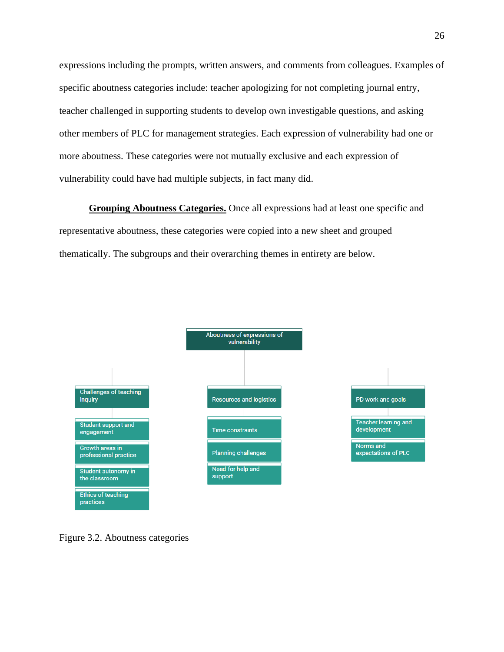expressions including the prompts, written answers, and comments from colleagues. Examples of specific aboutness categories include: teacher apologizing for not completing journal entry, teacher challenged in supporting students to develop own investigable questions, and asking other members of PLC for management strategies. Each expression of vulnerability had one or more aboutness. These categories were not mutually exclusive and each expression of vulnerability could have had multiple subjects, in fact many did.

**Grouping Aboutness Categories.** Once all expressions had at least one specific and representative aboutness, these categories were copied into a new sheet and grouped thematically. The subgroups and their overarching themes in entirety are below.



Figure 3.2. Aboutness categories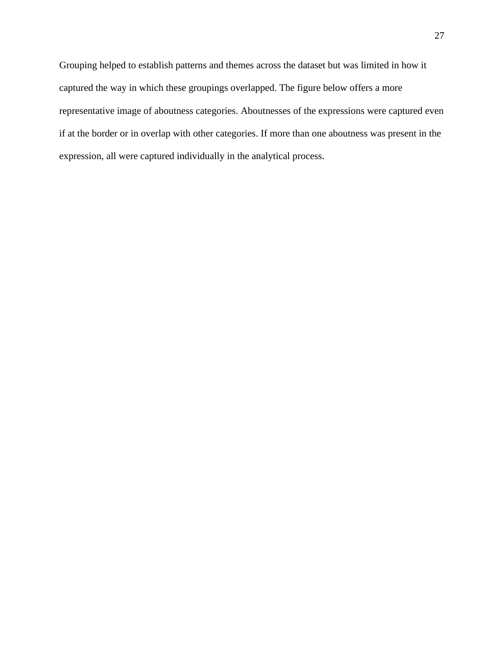Grouping helped to establish patterns and themes across the dataset but was limited in how it captured the way in which these groupings overlapped. The figure below offers a more representative image of aboutness categories. Aboutnesses of the expressions were captured even if at the border or in overlap with other categories. If more than one aboutness was present in the expression, all were captured individually in the analytical process.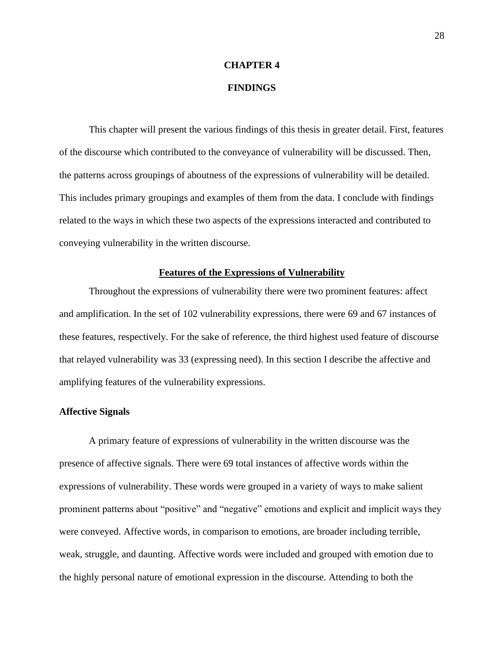#### **CHAPTER 4**

## **FINDINGS**

This chapter will present the various findings of this thesis in greater detail. First, features of the discourse which contributed to the conveyance of vulnerability will be discussed. Then, the patterns across groupings of aboutness of the expressions of vulnerability will be detailed. This includes primary groupings and examples of them from the data. I conclude with findings related to the ways in which these two aspects of the expressions interacted and contributed to conveying vulnerability in the written discourse.

## **Features of the Expressions of Vulnerability**

Throughout the expressions of vulnerability there were two prominent features: affect and amplification. In the set of 102 vulnerability expressions, there were 69 and 67 instances of these features, respectively. For the sake of reference, the third highest used feature of discourse that relayed vulnerability was 33 (expressing need). In this section I describe the affective and amplifying features of the vulnerability expressions.

## **Affective Signals**

A primary feature of expressions of vulnerability in the written discourse was the presence of affective signals. There were 69 total instances of affective words within the expressions of vulnerability. These words were grouped in a variety of ways to make salient prominent patterns about "positive" and "negative" emotions and explicit and implicit ways they were conveyed. Affective words, in comparison to emotions, are broader including terrible, weak, struggle, and daunting. Affective words were included and grouped with emotion due to the highly personal nature of emotional expression in the discourse. Attending to both the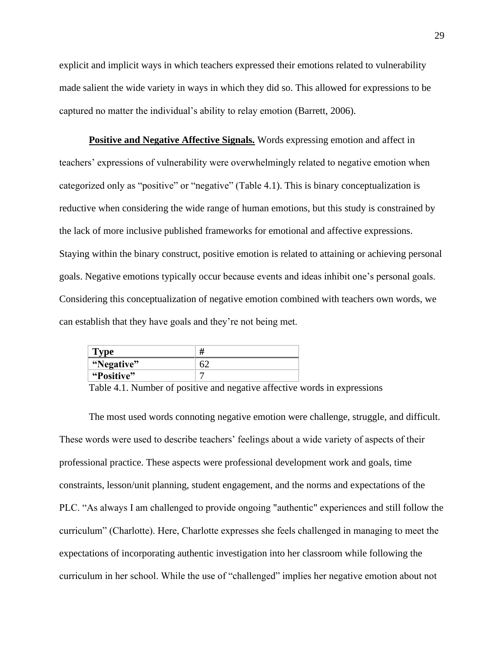explicit and implicit ways in which teachers expressed their emotions related to vulnerability made salient the wide variety in ways in which they did so. This allowed for expressions to be captured no matter the individual's ability to relay emotion (Barrett, 2006).

**Positive and Negative Affective Signals.** Words expressing emotion and affect in teachers' expressions of vulnerability were overwhelmingly related to negative emotion when categorized only as "positive" or "negative" (Table 4.1). This is binary conceptualization is reductive when considering the wide range of human emotions, but this study is constrained by the lack of more inclusive published frameworks for emotional and affective expressions. Staying within the binary construct, positive emotion is related to attaining or achieving personal goals. Negative emotions typically occur because events and ideas inhibit one's personal goals. Considering this conceptualization of negative emotion combined with teachers own words, we can establish that they have goals and they're not being met.

| Type       |  |
|------------|--|
| "Negative" |  |
| "Positive" |  |

Table 4.1. Number of positive and negative affective words in expressions

The most used words connoting negative emotion were challenge, struggle, and difficult. These words were used to describe teachers' feelings about a wide variety of aspects of their professional practice. These aspects were professional development work and goals, time constraints, lesson/unit planning, student engagement, and the norms and expectations of the PLC. "As always I am challenged to provide ongoing "authentic" experiences and still follow the curriculum" (Charlotte). Here, Charlotte expresses she feels challenged in managing to meet the expectations of incorporating authentic investigation into her classroom while following the curriculum in her school. While the use of "challenged" implies her negative emotion about not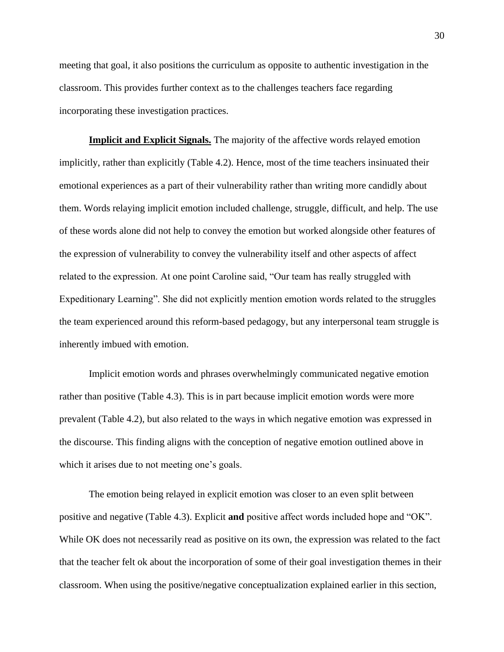meeting that goal, it also positions the curriculum as opposite to authentic investigation in the classroom. This provides further context as to the challenges teachers face regarding incorporating these investigation practices.

**Implicit and Explicit Signals.** The majority of the affective words relayed emotion implicitly, rather than explicitly (Table 4.2). Hence, most of the time teachers insinuated their emotional experiences as a part of their vulnerability rather than writing more candidly about them. Words relaying implicit emotion included challenge, struggle, difficult, and help. The use of these words alone did not help to convey the emotion but worked alongside other features of the expression of vulnerability to convey the vulnerability itself and other aspects of affect related to the expression. At one point Caroline said, "Our team has really struggled with Expeditionary Learning". She did not explicitly mention emotion words related to the struggles the team experienced around this reform-based pedagogy, but any interpersonal team struggle is inherently imbued with emotion.

Implicit emotion words and phrases overwhelmingly communicated negative emotion rather than positive (Table 4.3). This is in part because implicit emotion words were more prevalent (Table 4.2), but also related to the ways in which negative emotion was expressed in the discourse. This finding aligns with the conception of negative emotion outlined above in which it arises due to not meeting one's goals.

The emotion being relayed in explicit emotion was closer to an even split between positive and negative (Table 4.3). Explicit **and** positive affect words included hope and "OK". While OK does not necessarily read as positive on its own, the expression was related to the fact that the teacher felt ok about the incorporation of some of their goal investigation themes in their classroom. When using the positive/negative conceptualization explained earlier in this section,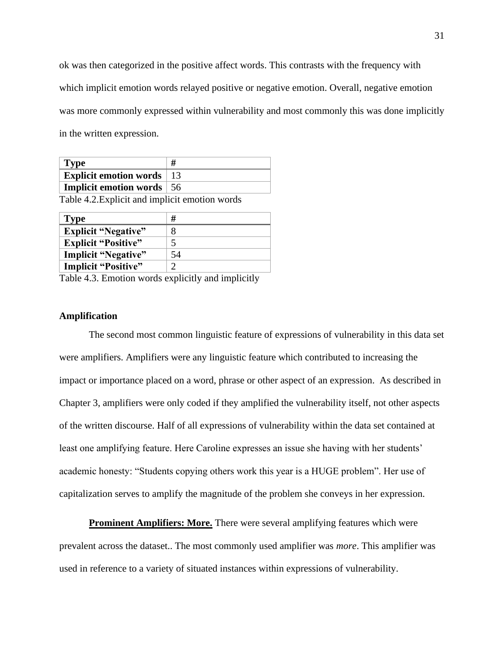ok was then categorized in the positive affect words. This contrasts with the frequency with which implicit emotion words relayed positive or negative emotion. Overall, negative emotion was more commonly expressed within vulnerability and most commonly this was done implicitly in the written expression.

| Type                               |  |
|------------------------------------|--|
| <b>Explicit emotion words</b>   13 |  |
| Implicit emotion words   56        |  |

Table 4.2.Explicit and implicit emotion words

| <b>Type</b>                | #  |
|----------------------------|----|
| <b>Explicit "Negative"</b> |    |
| <b>Explicit "Positive"</b> | 5  |
| <b>Implicit "Negative"</b> | 54 |
| <b>Implicit "Positive"</b> | റ  |
|                            |    |

Table 4.3. Emotion words explicitly and implicitly

## **Amplification**

The second most common linguistic feature of expressions of vulnerability in this data set were amplifiers. Amplifiers were any linguistic feature which contributed to increasing the impact or importance placed on a word, phrase or other aspect of an expression. As described in Chapter 3, amplifiers were only coded if they amplified the vulnerability itself, not other aspects of the written discourse. Half of all expressions of vulnerability within the data set contained at least one amplifying feature. Here Caroline expresses an issue she having with her students' academic honesty: "Students copying others work this year is a HUGE problem". Her use of capitalization serves to amplify the magnitude of the problem she conveys in her expression.

**Prominent Amplifiers: More.** There were several amplifying features which were prevalent across the dataset.. The most commonly used amplifier was *more*. This amplifier was used in reference to a variety of situated instances within expressions of vulnerability.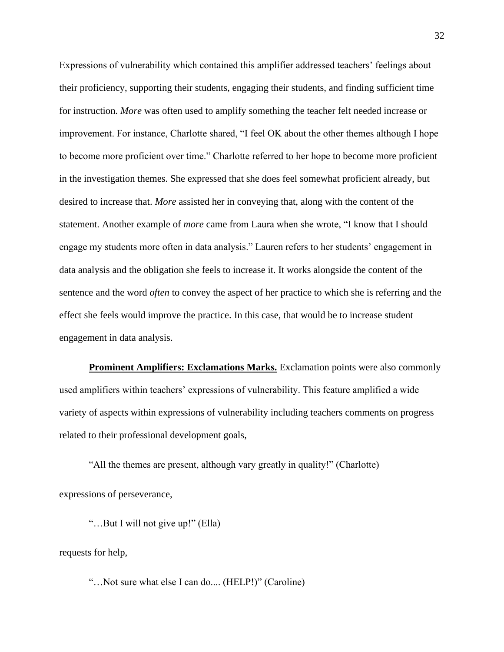Expressions of vulnerability which contained this amplifier addressed teachers' feelings about their proficiency, supporting their students, engaging their students, and finding sufficient time for instruction. *More* was often used to amplify something the teacher felt needed increase or improvement. For instance, Charlotte shared, "I feel OK about the other themes although I hope to become more proficient over time." Charlotte referred to her hope to become more proficient in the investigation themes. She expressed that she does feel somewhat proficient already, but desired to increase that. *More* assisted her in conveying that, along with the content of the statement. Another example of *more* came from Laura when she wrote, "I know that I should engage my students more often in data analysis." Lauren refers to her students' engagement in data analysis and the obligation she feels to increase it. It works alongside the content of the sentence and the word *often* to convey the aspect of her practice to which she is referring and the effect she feels would improve the practice. In this case, that would be to increase student engagement in data analysis.

**Prominent Amplifiers: Exclamations Marks.** Exclamation points were also commonly used amplifiers within teachers' expressions of vulnerability. This feature amplified a wide variety of aspects within expressions of vulnerability including teachers comments on progress related to their professional development goals,

"All the themes are present, although vary greatly in quality!" (Charlotte) expressions of perseverance,

"…But I will not give up!" (Ella)

requests for help,

"…Not sure what else I can do.... (HELP!)" (Caroline)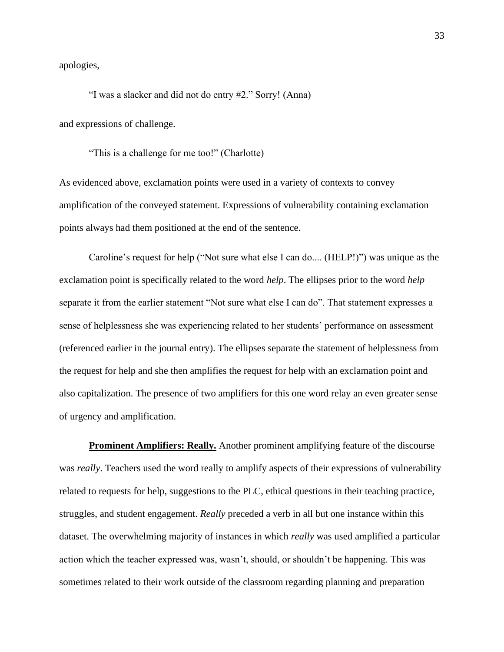apologies,

"I was a slacker and did not do entry #2." Sorry! (Anna)

and expressions of challenge.

"This is a challenge for me too!" (Charlotte)

As evidenced above, exclamation points were used in a variety of contexts to convey amplification of the conveyed statement. Expressions of vulnerability containing exclamation points always had them positioned at the end of the sentence.

Caroline's request for help ("Not sure what else I can do.... (HELP!)") was unique as the exclamation point is specifically related to the word *help*. The ellipses prior to the word *help*  separate it from the earlier statement "Not sure what else I can do". That statement expresses a sense of helplessness she was experiencing related to her students' performance on assessment (referenced earlier in the journal entry). The ellipses separate the statement of helplessness from the request for help and she then amplifies the request for help with an exclamation point and also capitalization. The presence of two amplifiers for this one word relay an even greater sense of urgency and amplification.

**Prominent Amplifiers: Really.** Another prominent amplifying feature of the discourse was *really*. Teachers used the word really to amplify aspects of their expressions of vulnerability related to requests for help, suggestions to the PLC, ethical questions in their teaching practice, struggles, and student engagement. *Really* preceded a verb in all but one instance within this dataset. The overwhelming majority of instances in which *really* was used amplified a particular action which the teacher expressed was, wasn't, should, or shouldn't be happening. This was sometimes related to their work outside of the classroom regarding planning and preparation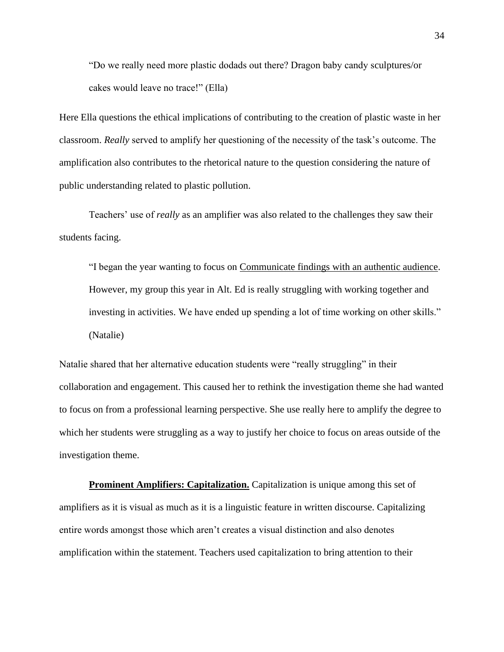"Do we really need more plastic dodads out there? Dragon baby candy sculptures/or cakes would leave no trace!" (Ella)

Here Ella questions the ethical implications of contributing to the creation of plastic waste in her classroom. *Really* served to amplify her questioning of the necessity of the task's outcome. The amplification also contributes to the rhetorical nature to the question considering the nature of public understanding related to plastic pollution.

Teachers' use of *really* as an amplifier was also related to the challenges they saw their students facing.

"I began the year wanting to focus on Communicate findings with an authentic audience. However, my group this year in Alt. Ed is really struggling with working together and investing in activities. We have ended up spending a lot of time working on other skills." (Natalie)

Natalie shared that her alternative education students were "really struggling" in their collaboration and engagement. This caused her to rethink the investigation theme she had wanted to focus on from a professional learning perspective. She use really here to amplify the degree to which her students were struggling as a way to justify her choice to focus on areas outside of the investigation theme.

**Prominent Amplifiers: Capitalization.** Capitalization is unique among this set of amplifiers as it is visual as much as it is a linguistic feature in written discourse. Capitalizing entire words amongst those which aren't creates a visual distinction and also denotes amplification within the statement. Teachers used capitalization to bring attention to their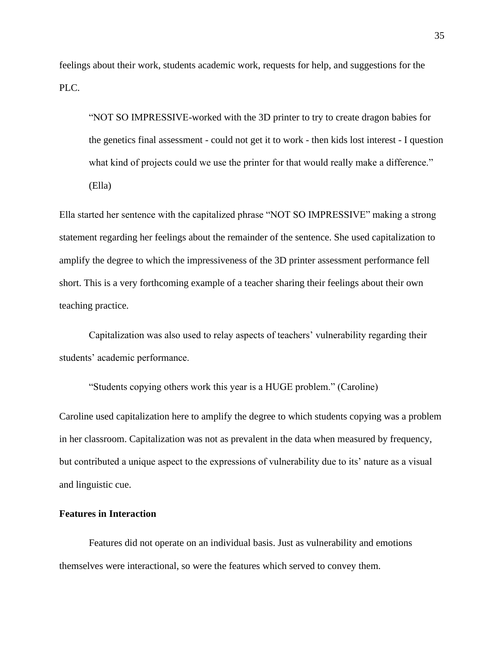feelings about their work, students academic work, requests for help, and suggestions for the PLC.

"NOT SO IMPRESSIVE-worked with the 3D printer to try to create dragon babies for the genetics final assessment - could not get it to work - then kids lost interest - I question what kind of projects could we use the printer for that would really make a difference." (Ella)

Ella started her sentence with the capitalized phrase "NOT SO IMPRESSIVE" making a strong statement regarding her feelings about the remainder of the sentence. She used capitalization to amplify the degree to which the impressiveness of the 3D printer assessment performance fell short. This is a very forthcoming example of a teacher sharing their feelings about their own teaching practice.

Capitalization was also used to relay aspects of teachers' vulnerability regarding their students' academic performance.

"Students copying others work this year is a HUGE problem." (Caroline)

Caroline used capitalization here to amplify the degree to which students copying was a problem in her classroom. Capitalization was not as prevalent in the data when measured by frequency, but contributed a unique aspect to the expressions of vulnerability due to its' nature as a visual and linguistic cue.

## **Features in Interaction**

Features did not operate on an individual basis. Just as vulnerability and emotions themselves were interactional, so were the features which served to convey them.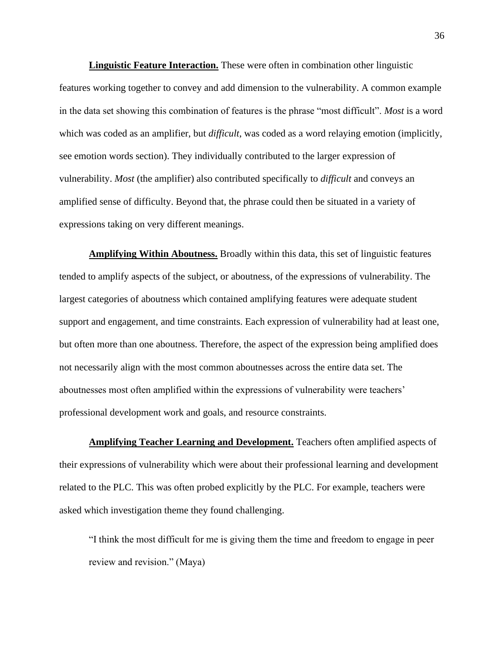**Linguistic Feature Interaction.** These were often in combination other linguistic features working together to convey and add dimension to the vulnerability. A common example in the data set showing this combination of features is the phrase "most difficult". *Most* is a word which was coded as an amplifier, but *difficult*, was coded as a word relaying emotion (implicitly, see emotion words section). They individually contributed to the larger expression of vulnerability. *Most* (the amplifier) also contributed specifically to *difficult* and conveys an amplified sense of difficulty. Beyond that, the phrase could then be situated in a variety of expressions taking on very different meanings.

**Amplifying Within Aboutness.** Broadly within this data, this set of linguistic features tended to amplify aspects of the subject, or aboutness, of the expressions of vulnerability. The largest categories of aboutness which contained amplifying features were adequate student support and engagement, and time constraints. Each expression of vulnerability had at least one, but often more than one aboutness. Therefore, the aspect of the expression being amplified does not necessarily align with the most common aboutnesses across the entire data set. The aboutnesses most often amplified within the expressions of vulnerability were teachers' professional development work and goals, and resource constraints.

**Amplifying Teacher Learning and Development.** Teachers often amplified aspects of their expressions of vulnerability which were about their professional learning and development related to the PLC. This was often probed explicitly by the PLC. For example, teachers were asked which investigation theme they found challenging.

"I think the most difficult for me is giving them the time and freedom to engage in peer review and revision." (Maya)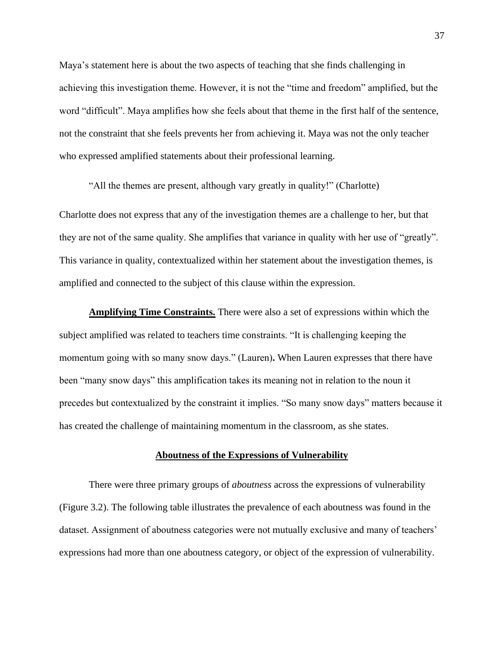Maya's statement here is about the two aspects of teaching that she finds challenging in achieving this investigation theme. However, it is not the "time and freedom" amplified, but the word "difficult". Maya amplifies how she feels about that theme in the first half of the sentence, not the constraint that she feels prevents her from achieving it. Maya was not the only teacher who expressed amplified statements about their professional learning.

"All the themes are present, although vary greatly in quality!" (Charlotte)

Charlotte does not express that any of the investigation themes are a challenge to her, but that they are not of the same quality. She amplifies that variance in quality with her use of "greatly". This variance in quality, contextualized within her statement about the investigation themes, is amplified and connected to the subject of this clause within the expression.

**Amplifying Time Constraints.** There were also a set of expressions within which the subject amplified was related to teachers time constraints. "It is challenging keeping the momentum going with so many snow days." (Lauren)**.** When Lauren expresses that there have been "many snow days" this amplification takes its meaning not in relation to the noun it precedes but contextualized by the constraint it implies. "So many snow days" matters because it has created the challenge of maintaining momentum in the classroom, as she states.

## **Aboutness of the Expressions of Vulnerability**

There were three primary groups of *aboutness* across the expressions of vulnerability (Figure 3.2). The following table illustrates the prevalence of each aboutness was found in the dataset. Assignment of aboutness categories were not mutually exclusive and many of teachers' expressions had more than one aboutness category, or object of the expression of vulnerability.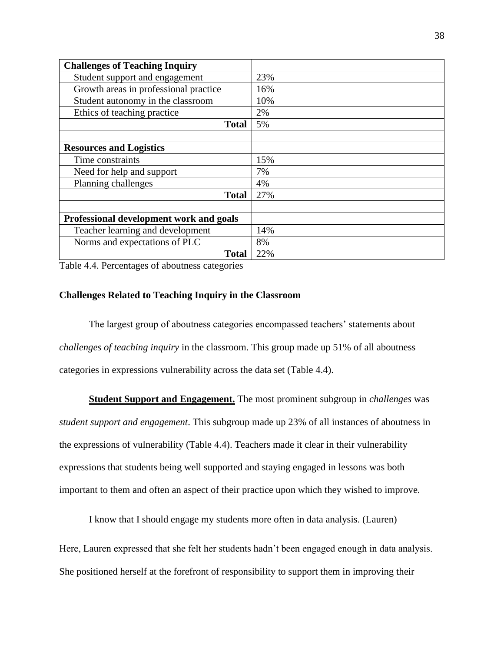| <b>Challenges of Teaching Inquiry</b>   |     |
|-----------------------------------------|-----|
| Student support and engagement          | 23% |
| Growth areas in professional practice   | 16% |
| Student autonomy in the classroom       | 10% |
| Ethics of teaching practice             | 2%  |
| <b>Total</b>                            | 5%  |
|                                         |     |
| <b>Resources and Logistics</b>          |     |
| Time constraints                        | 15% |
| Need for help and support               | 7%  |
| Planning challenges                     | 4%  |
| <b>Total</b>                            | 27% |
|                                         |     |
| Professional development work and goals |     |
| Teacher learning and development        | 14% |
| Norms and expectations of PLC           | 8%  |
| <b>Total</b>                            | 22% |

Table 4.4. Percentages of aboutness categories

## **Challenges Related to Teaching Inquiry in the Classroom**

The largest group of aboutness categories encompassed teachers' statements about *challenges of teaching inquiry* in the classroom. This group made up 51% of all aboutness categories in expressions vulnerability across the data set (Table 4.4).

**Student Support and Engagement.** The most prominent subgroup in *challenges* was *student support and engagement*. This subgroup made up 23% of all instances of aboutness in the expressions of vulnerability (Table 4.4). Teachers made it clear in their vulnerability expressions that students being well supported and staying engaged in lessons was both important to them and often an aspect of their practice upon which they wished to improve.

I know that I should engage my students more often in data analysis. (Lauren)

Here, Lauren expressed that she felt her students hadn't been engaged enough in data analysis.

She positioned herself at the forefront of responsibility to support them in improving their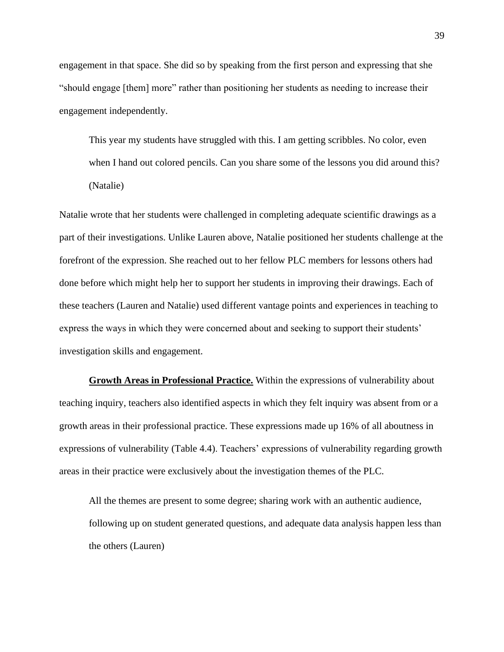engagement in that space. She did so by speaking from the first person and expressing that she "should engage [them] more" rather than positioning her students as needing to increase their engagement independently.

This year my students have struggled with this. I am getting scribbles. No color, even when I hand out colored pencils. Can you share some of the lessons you did around this? (Natalie)

Natalie wrote that her students were challenged in completing adequate scientific drawings as a part of their investigations. Unlike Lauren above, Natalie positioned her students challenge at the forefront of the expression. She reached out to her fellow PLC members for lessons others had done before which might help her to support her students in improving their drawings. Each of these teachers (Lauren and Natalie) used different vantage points and experiences in teaching to express the ways in which they were concerned about and seeking to support their students' investigation skills and engagement.

**Growth Areas in Professional Practice.** Within the expressions of vulnerability about teaching inquiry, teachers also identified aspects in which they felt inquiry was absent from or a growth areas in their professional practice. These expressions made up 16% of all aboutness in expressions of vulnerability (Table 4.4). Teachers' expressions of vulnerability regarding growth areas in their practice were exclusively about the investigation themes of the PLC.

All the themes are present to some degree; sharing work with an authentic audience, following up on student generated questions, and adequate data analysis happen less than the others (Lauren)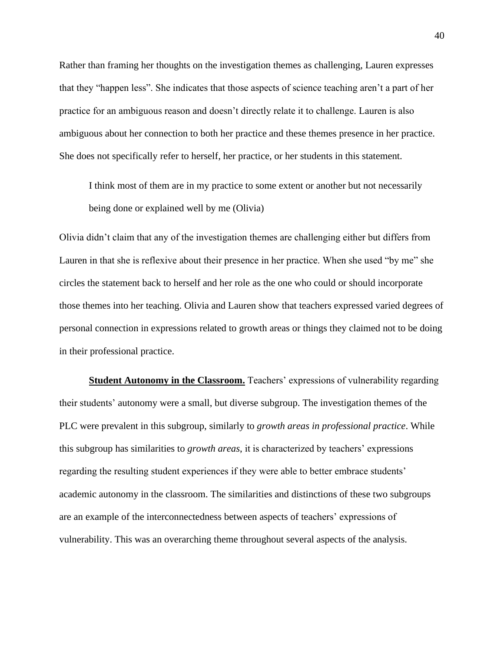Rather than framing her thoughts on the investigation themes as challenging, Lauren expresses that they "happen less". She indicates that those aspects of science teaching aren't a part of her practice for an ambiguous reason and doesn't directly relate it to challenge. Lauren is also ambiguous about her connection to both her practice and these themes presence in her practice. She does not specifically refer to herself, her practice, or her students in this statement.

I think most of them are in my practice to some extent or another but not necessarily being done or explained well by me (Olivia)

Olivia didn't claim that any of the investigation themes are challenging either but differs from Lauren in that she is reflexive about their presence in her practice. When she used "by me" she circles the statement back to herself and her role as the one who could or should incorporate those themes into her teaching. Olivia and Lauren show that teachers expressed varied degrees of personal connection in expressions related to growth areas or things they claimed not to be doing in their professional practice.

**Student Autonomy in the Classroom.** Teachers' expressions of vulnerability regarding their students' autonomy were a small, but diverse subgroup. The investigation themes of the PLC were prevalent in this subgroup, similarly to *growth areas in professional practice*. While this subgroup has similarities to *growth areas*, it is characterized by teachers' expressions regarding the resulting student experiences if they were able to better embrace students' academic autonomy in the classroom. The similarities and distinctions of these two subgroups are an example of the interconnectedness between aspects of teachers' expressions of vulnerability. This was an overarching theme throughout several aspects of the analysis.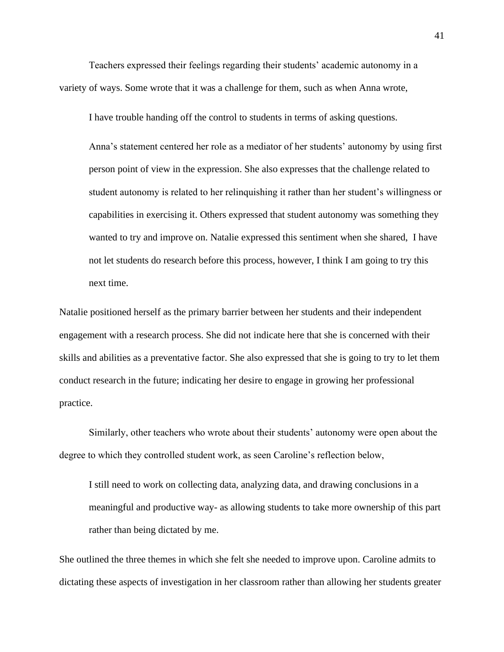Teachers expressed their feelings regarding their students' academic autonomy in a variety of ways. Some wrote that it was a challenge for them, such as when Anna wrote,

I have trouble handing off the control to students in terms of asking questions.

Anna's statement centered her role as a mediator of her students' autonomy by using first person point of view in the expression. She also expresses that the challenge related to student autonomy is related to her relinquishing it rather than her student's willingness or capabilities in exercising it. Others expressed that student autonomy was something they wanted to try and improve on. Natalie expressed this sentiment when she shared, I have not let students do research before this process, however, I think I am going to try this next time.

Natalie positioned herself as the primary barrier between her students and their independent engagement with a research process. She did not indicate here that she is concerned with their skills and abilities as a preventative factor. She also expressed that she is going to try to let them conduct research in the future; indicating her desire to engage in growing her professional practice.

Similarly, other teachers who wrote about their students' autonomy were open about the degree to which they controlled student work, as seen Caroline's reflection below,

I still need to work on collecting data, analyzing data, and drawing conclusions in a meaningful and productive way- as allowing students to take more ownership of this part rather than being dictated by me.

She outlined the three themes in which she felt she needed to improve upon. Caroline admits to dictating these aspects of investigation in her classroom rather than allowing her students greater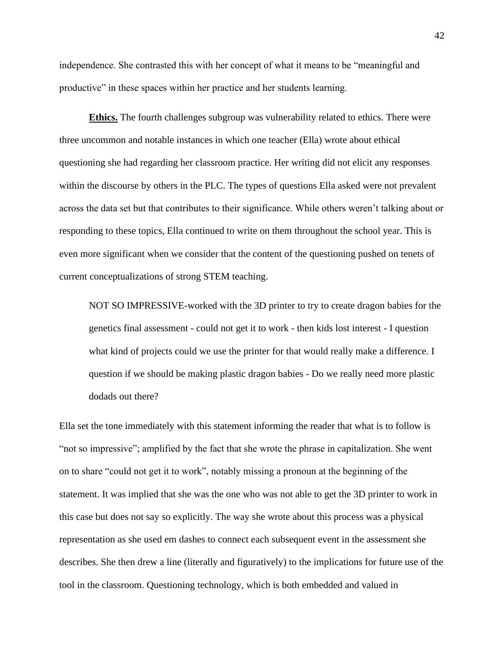independence. She contrasted this with her concept of what it means to be "meaningful and productive" in these spaces within her practice and her students learning.

**Ethics.** The fourth challenges subgroup was vulnerability related to ethics. There were three uncommon and notable instances in which one teacher (Ella) wrote about ethical questioning she had regarding her classroom practice. Her writing did not elicit any responses within the discourse by others in the PLC. The types of questions Ella asked were not prevalent across the data set but that contributes to their significance. While others weren't talking about or responding to these topics, Ella continued to write on them throughout the school year. This is even more significant when we consider that the content of the questioning pushed on tenets of current conceptualizations of strong STEM teaching.

NOT SO IMPRESSIVE-worked with the 3D printer to try to create dragon babies for the genetics final assessment - could not get it to work - then kids lost interest - I question what kind of projects could we use the printer for that would really make a difference. I question if we should be making plastic dragon babies - Do we really need more plastic dodads out there?

Ella set the tone immediately with this statement informing the reader that what is to follow is "not so impressive"; amplified by the fact that she wrote the phrase in capitalization. She went on to share "could not get it to work", notably missing a pronoun at the beginning of the statement. It was implied that she was the one who was not able to get the 3D printer to work in this case but does not say so explicitly. The way she wrote about this process was a physical representation as she used em dashes to connect each subsequent event in the assessment she describes. She then drew a line (literally and figuratively) to the implications for future use of the tool in the classroom. Questioning technology, which is both embedded and valued in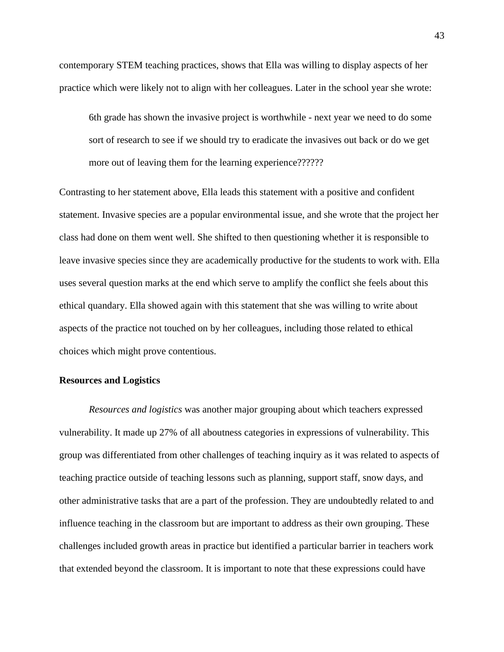contemporary STEM teaching practices, shows that Ella was willing to display aspects of her practice which were likely not to align with her colleagues. Later in the school year she wrote:

6th grade has shown the invasive project is worthwhile - next year we need to do some sort of research to see if we should try to eradicate the invasives out back or do we get more out of leaving them for the learning experience???????

Contrasting to her statement above, Ella leads this statement with a positive and confident statement. Invasive species are a popular environmental issue, and she wrote that the project her class had done on them went well. She shifted to then questioning whether it is responsible to leave invasive species since they are academically productive for the students to work with. Ella uses several question marks at the end which serve to amplify the conflict she feels about this ethical quandary. Ella showed again with this statement that she was willing to write about aspects of the practice not touched on by her colleagues, including those related to ethical choices which might prove contentious.

## **Resources and Logistics**

*Resources and logistics* was another major grouping about which teachers expressed vulnerability. It made up 27% of all aboutness categories in expressions of vulnerability. This group was differentiated from other challenges of teaching inquiry as it was related to aspects of teaching practice outside of teaching lessons such as planning, support staff, snow days, and other administrative tasks that are a part of the profession. They are undoubtedly related to and influence teaching in the classroom but are important to address as their own grouping. These challenges included growth areas in practice but identified a particular barrier in teachers work that extended beyond the classroom. It is important to note that these expressions could have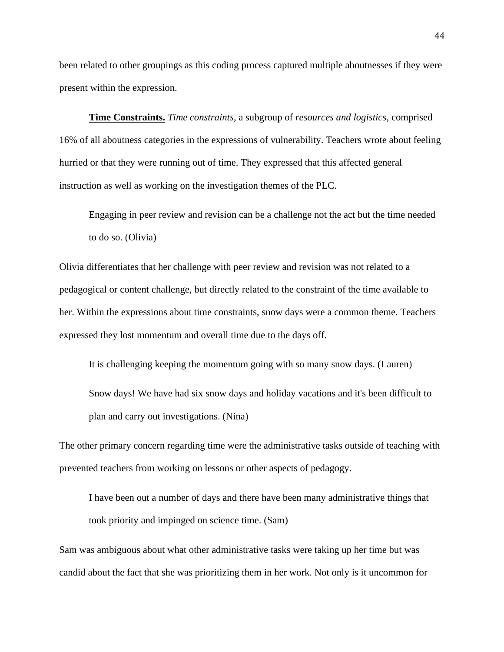been related to other groupings as this coding process captured multiple aboutnesses if they were present within the expression.

**Time Constraints.** *Time constraints*, a subgroup of *resources and logistics*, comprised 16% of all aboutness categories in the expressions of vulnerability. Teachers wrote about feeling hurried or that they were running out of time. They expressed that this affected general instruction as well as working on the investigation themes of the PLC.

Engaging in peer review and revision can be a challenge not the act but the time needed to do so. (Olivia)

Olivia differentiates that her challenge with peer review and revision was not related to a pedagogical or content challenge, but directly related to the constraint of the time available to her. Within the expressions about time constraints, snow days were a common theme. Teachers expressed they lost momentum and overall time due to the days off.

It is challenging keeping the momentum going with so many snow days. (Lauren)

Snow days! We have had six snow days and holiday vacations and it's been difficult to plan and carry out investigations. (Nina)

The other primary concern regarding time were the administrative tasks outside of teaching with prevented teachers from working on lessons or other aspects of pedagogy.

I have been out a number of days and there have been many administrative things that took priority and impinged on science time. (Sam)

Sam was ambiguous about what other administrative tasks were taking up her time but was candid about the fact that she was prioritizing them in her work. Not only is it uncommon for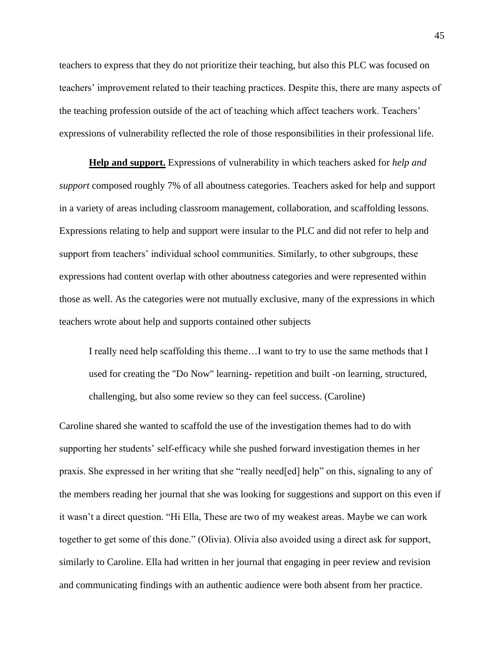teachers to express that they do not prioritize their teaching, but also this PLC was focused on teachers' improvement related to their teaching practices. Despite this, there are many aspects of the teaching profession outside of the act of teaching which affect teachers work. Teachers' expressions of vulnerability reflected the role of those responsibilities in their professional life.

**Help and support.** Expressions of vulnerability in which teachers asked for *help and support* composed roughly 7% of all aboutness categories. Teachers asked for help and support in a variety of areas including classroom management, collaboration, and scaffolding lessons. Expressions relating to help and support were insular to the PLC and did not refer to help and support from teachers' individual school communities. Similarly, to other subgroups, these expressions had content overlap with other aboutness categories and were represented within those as well. As the categories were not mutually exclusive, many of the expressions in which teachers wrote about help and supports contained other subjects

I really need help scaffolding this theme…I want to try to use the same methods that I used for creating the "Do Now" learning- repetition and built -on learning, structured, challenging, but also some review so they can feel success. (Caroline)

Caroline shared she wanted to scaffold the use of the investigation themes had to do with supporting her students' self-efficacy while she pushed forward investigation themes in her praxis. She expressed in her writing that she "really need[ed] help" on this, signaling to any of the members reading her journal that she was looking for suggestions and support on this even if it wasn't a direct question. "Hi Ella, These are two of my weakest areas. Maybe we can work together to get some of this done." (Olivia). Olivia also avoided using a direct ask for support, similarly to Caroline. Ella had written in her journal that engaging in peer review and revision and communicating findings with an authentic audience were both absent from her practice.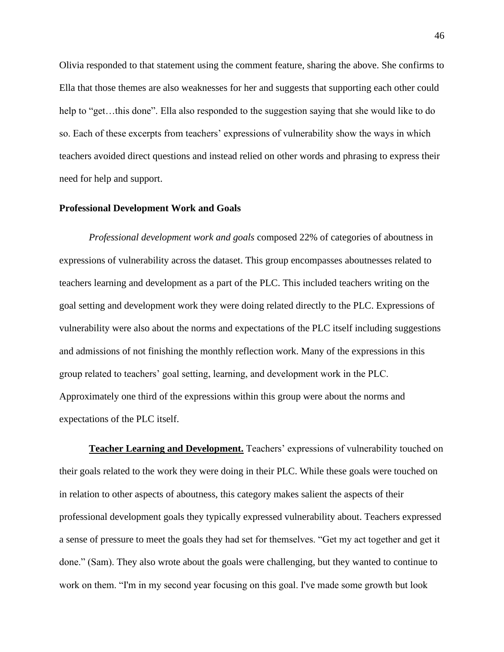Olivia responded to that statement using the comment feature, sharing the above. She confirms to Ella that those themes are also weaknesses for her and suggests that supporting each other could help to "get...this done". Ella also responded to the suggestion saying that she would like to do so. Each of these excerpts from teachers' expressions of vulnerability show the ways in which teachers avoided direct questions and instead relied on other words and phrasing to express their need for help and support.

## **Professional Development Work and Goals**

*Professional development work and goals* composed 22% of categories of aboutness in expressions of vulnerability across the dataset. This group encompasses aboutnesses related to teachers learning and development as a part of the PLC. This included teachers writing on the goal setting and development work they were doing related directly to the PLC. Expressions of vulnerability were also about the norms and expectations of the PLC itself including suggestions and admissions of not finishing the monthly reflection work. Many of the expressions in this group related to teachers' goal setting, learning, and development work in the PLC. Approximately one third of the expressions within this group were about the norms and expectations of the PLC itself.

**Teacher Learning and Development.** Teachers' expressions of vulnerability touched on their goals related to the work they were doing in their PLC. While these goals were touched on in relation to other aspects of aboutness, this category makes salient the aspects of their professional development goals they typically expressed vulnerability about. Teachers expressed a sense of pressure to meet the goals they had set for themselves. "Get my act together and get it done." (Sam). They also wrote about the goals were challenging, but they wanted to continue to work on them. "I'm in my second year focusing on this goal. I've made some growth but look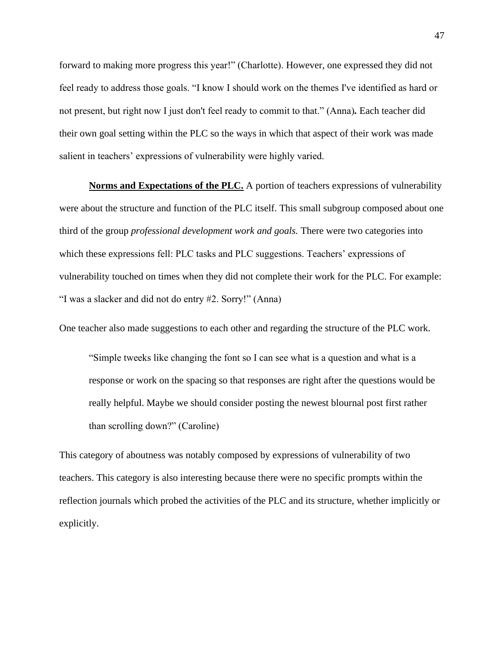forward to making more progress this year!" (Charlotte). However, one expressed they did not feel ready to address those goals. "I know I should work on the themes I've identified as hard or not present, but right now I just don't feel ready to commit to that." (Anna)*.* Each teacher did their own goal setting within the PLC so the ways in which that aspect of their work was made salient in teachers' expressions of vulnerability were highly varied.

**Norms and Expectations of the PLC.** A portion of teachers expressions of vulnerability were about the structure and function of the PLC itself. This small subgroup composed about one third of the group *professional development work and goals.* There were two categories into which these expressions fell: PLC tasks and PLC suggestions. Teachers' expressions of vulnerability touched on times when they did not complete their work for the PLC. For example: "I was a slacker and did not do entry #2. Sorry!" (Anna)

One teacher also made suggestions to each other and regarding the structure of the PLC work.

"Simple tweeks like changing the font so I can see what is a question and what is a response or work on the spacing so that responses are right after the questions would be really helpful. Maybe we should consider posting the newest blournal post first rather than scrolling down?" (Caroline)

This category of aboutness was notably composed by expressions of vulnerability of two teachers. This category is also interesting because there were no specific prompts within the reflection journals which probed the activities of the PLC and its structure, whether implicitly or explicitly.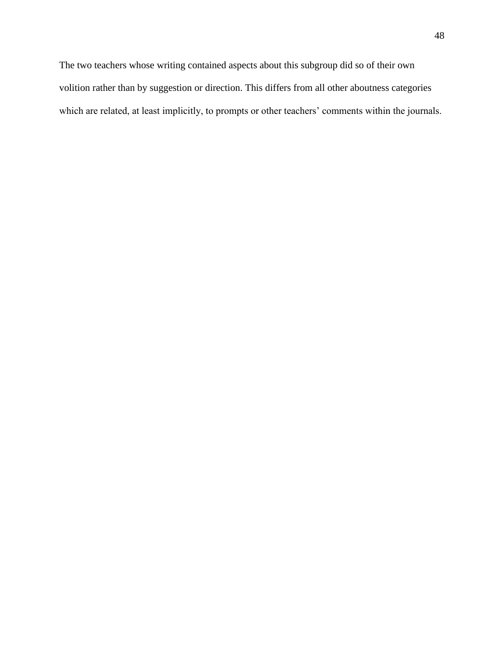The two teachers whose writing contained aspects about this subgroup did so of their own volition rather than by suggestion or direction. This differs from all other aboutness categories which are related, at least implicitly, to prompts or other teachers' comments within the journals.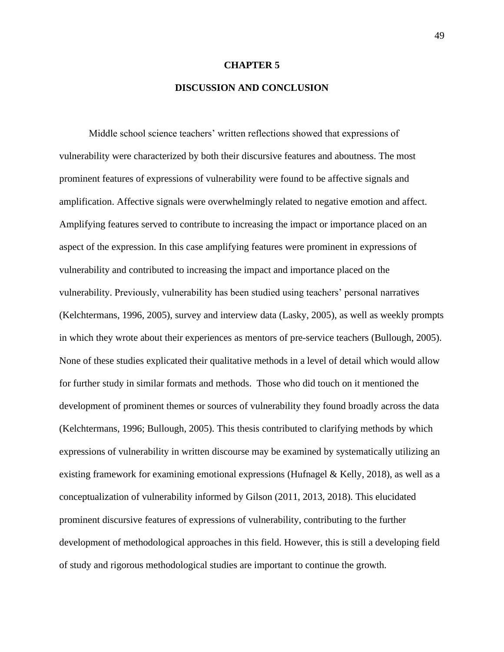#### **CHAPTER 5**

## **DISCUSSION AND CONCLUSION**

Middle school science teachers' written reflections showed that expressions of vulnerability were characterized by both their discursive features and aboutness. The most prominent features of expressions of vulnerability were found to be affective signals and amplification. Affective signals were overwhelmingly related to negative emotion and affect. Amplifying features served to contribute to increasing the impact or importance placed on an aspect of the expression. In this case amplifying features were prominent in expressions of vulnerability and contributed to increasing the impact and importance placed on the vulnerability. Previously, vulnerability has been studied using teachers' personal narratives (Kelchtermans, 1996, 2005), survey and interview data (Lasky, 2005), as well as weekly prompts in which they wrote about their experiences as mentors of pre-service teachers (Bullough, 2005). None of these studies explicated their qualitative methods in a level of detail which would allow for further study in similar formats and methods. Those who did touch on it mentioned the development of prominent themes or sources of vulnerability they found broadly across the data (Kelchtermans, 1996; Bullough, 2005). This thesis contributed to clarifying methods by which expressions of vulnerability in written discourse may be examined by systematically utilizing an existing framework for examining emotional expressions (Hufnagel  $&$  Kelly, 2018), as well as a conceptualization of vulnerability informed by Gilson (2011, 2013, 2018). This elucidated prominent discursive features of expressions of vulnerability, contributing to the further development of methodological approaches in this field. However, this is still a developing field of study and rigorous methodological studies are important to continue the growth.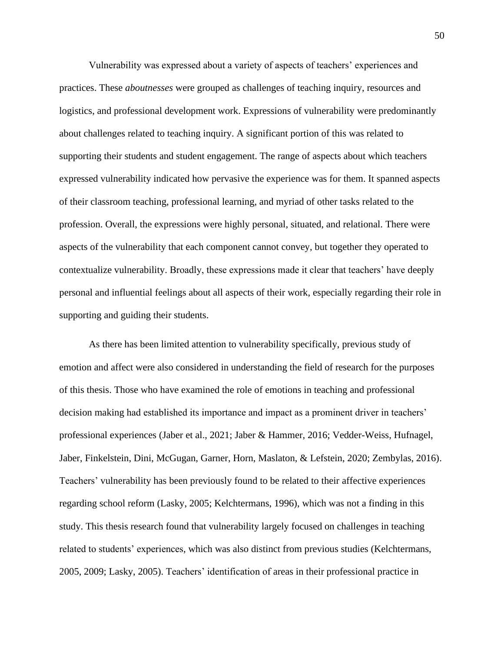Vulnerability was expressed about a variety of aspects of teachers' experiences and practices. These *aboutnesses* were grouped as challenges of teaching inquiry, resources and logistics, and professional development work. Expressions of vulnerability were predominantly about challenges related to teaching inquiry. A significant portion of this was related to supporting their students and student engagement. The range of aspects about which teachers expressed vulnerability indicated how pervasive the experience was for them. It spanned aspects of their classroom teaching, professional learning, and myriad of other tasks related to the profession. Overall, the expressions were highly personal, situated, and relational. There were aspects of the vulnerability that each component cannot convey, but together they operated to contextualize vulnerability. Broadly, these expressions made it clear that teachers' have deeply personal and influential feelings about all aspects of their work, especially regarding their role in supporting and guiding their students.

As there has been limited attention to vulnerability specifically, previous study of emotion and affect were also considered in understanding the field of research for the purposes of this thesis. Those who have examined the role of emotions in teaching and professional decision making had established its importance and impact as a prominent driver in teachers' professional experiences (Jaber et al., 2021; Jaber & Hammer, 2016; Vedder-Weiss, Hufnagel, Jaber, Finkelstein, Dini, McGugan, Garner, Horn, Maslaton, & Lefstein, 2020; Zembylas, 2016). Teachers' vulnerability has been previously found to be related to their affective experiences regarding school reform (Lasky, 2005; Kelchtermans, 1996), which was not a finding in this study. This thesis research found that vulnerability largely focused on challenges in teaching related to students' experiences, which was also distinct from previous studies (Kelchtermans, 2005, 2009; Lasky, 2005). Teachers' identification of areas in their professional practice in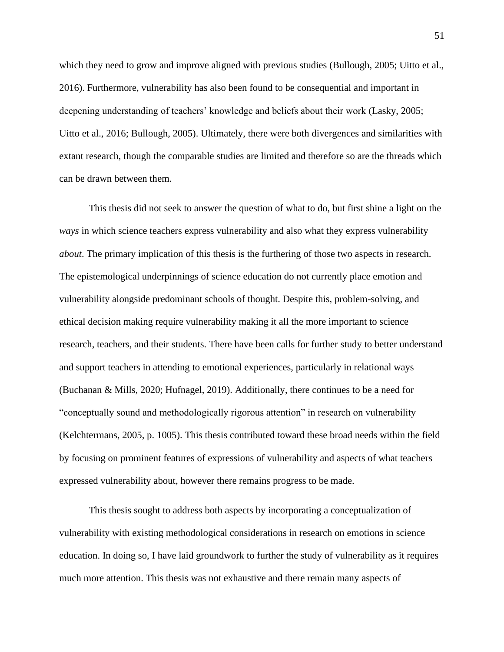which they need to grow and improve aligned with previous studies (Bullough, 2005; Uitto et al., 2016). Furthermore, vulnerability has also been found to be consequential and important in deepening understanding of teachers' knowledge and beliefs about their work (Lasky, 2005; Uitto et al., 2016; Bullough, 2005). Ultimately, there were both divergences and similarities with extant research, though the comparable studies are limited and therefore so are the threads which can be drawn between them.

This thesis did not seek to answer the question of what to do, but first shine a light on the *ways* in which science teachers express vulnerability and also what they express vulnerability *about*. The primary implication of this thesis is the furthering of those two aspects in research. The epistemological underpinnings of science education do not currently place emotion and vulnerability alongside predominant schools of thought. Despite this, problem-solving, and ethical decision making require vulnerability making it all the more important to science research, teachers, and their students. There have been calls for further study to better understand and support teachers in attending to emotional experiences, particularly in relational ways (Buchanan & Mills, 2020; Hufnagel, 2019). Additionally, there continues to be a need for "conceptually sound and methodologically rigorous attention" in research on vulnerability (Kelchtermans, 2005, p. 1005). This thesis contributed toward these broad needs within the field by focusing on prominent features of expressions of vulnerability and aspects of what teachers expressed vulnerability about, however there remains progress to be made.

This thesis sought to address both aspects by incorporating a conceptualization of vulnerability with existing methodological considerations in research on emotions in science education. In doing so, I have laid groundwork to further the study of vulnerability as it requires much more attention. This thesis was not exhaustive and there remain many aspects of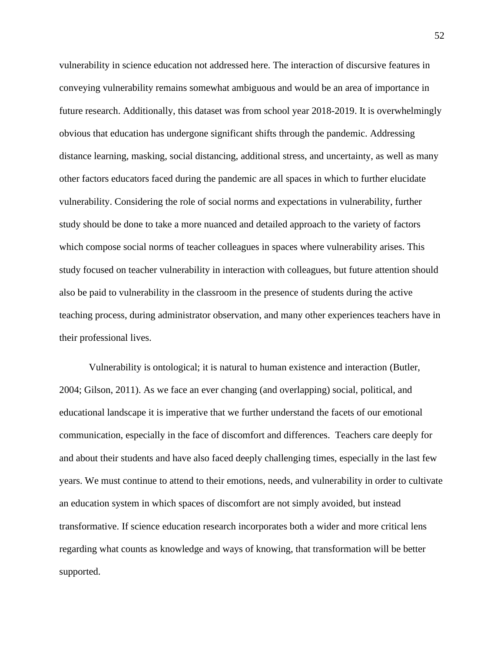vulnerability in science education not addressed here. The interaction of discursive features in conveying vulnerability remains somewhat ambiguous and would be an area of importance in future research. Additionally, this dataset was from school year 2018-2019. It is overwhelmingly obvious that education has undergone significant shifts through the pandemic. Addressing distance learning, masking, social distancing, additional stress, and uncertainty, as well as many other factors educators faced during the pandemic are all spaces in which to further elucidate vulnerability. Considering the role of social norms and expectations in vulnerability, further study should be done to take a more nuanced and detailed approach to the variety of factors which compose social norms of teacher colleagues in spaces where vulnerability arises. This study focused on teacher vulnerability in interaction with colleagues, but future attention should also be paid to vulnerability in the classroom in the presence of students during the active teaching process, during administrator observation, and many other experiences teachers have in their professional lives.

Vulnerability is ontological; it is natural to human existence and interaction (Butler, 2004; Gilson, 2011). As we face an ever changing (and overlapping) social, political, and educational landscape it is imperative that we further understand the facets of our emotional communication, especially in the face of discomfort and differences. Teachers care deeply for and about their students and have also faced deeply challenging times, especially in the last few years. We must continue to attend to their emotions, needs, and vulnerability in order to cultivate an education system in which spaces of discomfort are not simply avoided, but instead transformative. If science education research incorporates both a wider and more critical lens regarding what counts as knowledge and ways of knowing, that transformation will be better supported.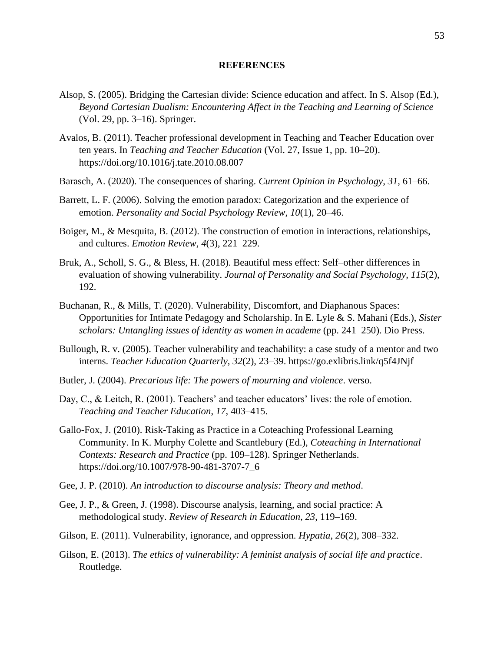#### **REFERENCES**

- Alsop, S. (2005). Bridging the Cartesian divide: Science education and affect. In S. Alsop (Ed.), *Beyond Cartesian Dualism: Encountering Affect in the Teaching and Learning of Science* (Vol. 29, pp. 3–16). Springer.
- Avalos, B. (2011). Teacher professional development in Teaching and Teacher Education over ten years. In *Teaching and Teacher Education* (Vol. 27, Issue 1, pp. 10–20). https://doi.org/10.1016/j.tate.2010.08.007
- Barasch, A. (2020). The consequences of sharing. *Current Opinion in Psychology*, *31*, 61–66.
- Barrett, L. F. (2006). Solving the emotion paradox: Categorization and the experience of emotion. *Personality and Social Psychology Review*, *10*(1), 20–46.
- Boiger, M., & Mesquita, B. (2012). The construction of emotion in interactions, relationships, and cultures. *Emotion Review*, *4*(3), 221–229.
- Bruk, A., Scholl, S. G., & Bless, H. (2018). Beautiful mess effect: Self–other differences in evaluation of showing vulnerability. *Journal of Personality and Social Psychology*, *115*(2), 192.
- Buchanan, R., & Mills, T. (2020). Vulnerability, Discomfort, and Diaphanous Spaces: Opportunities for Intimate Pedagogy and Scholarship. In E. Lyle & S. Mahani (Eds.), *Sister scholars: Untangling issues of identity as women in academe* (pp. 241–250). Dio Press.
- Bullough, R. v. (2005). Teacher vulnerability and teachability: a case study of a mentor and two interns. *Teacher Education Quarterly*, *32*(2), 23–39. https://go.exlibris.link/q5f4JNjf
- Butler, J. (2004). *Precarious life: The powers of mourning and violence*. verso.
- Day, C., & Leitch, R. (2001). Teachers' and teacher educators' lives: the role of emotion. *Teaching and Teacher Education*, *17*, 403–415.
- Gallo-Fox, J. (2010). Risk-Taking as Practice in a Coteaching Professional Learning Community. In K. Murphy Colette and Scantlebury (Ed.), *Coteaching in International Contexts: Research and Practice* (pp. 109–128). Springer Netherlands. https://doi.org/10.1007/978-90-481-3707-7\_6
- Gee, J. P. (2010). *An introduction to discourse analysis: Theory and method*.
- Gee, J. P., & Green, J. (1998). Discourse analysis, learning, and social practice: A methodological study. *Review of Research in Education*, *23*, 119–169.
- Gilson, E. (2011). Vulnerability, ignorance, and oppression. *Hypatia*, *26*(2), 308–332.
- Gilson, E. (2013). *The ethics of vulnerability: A feminist analysis of social life and practice*. Routledge.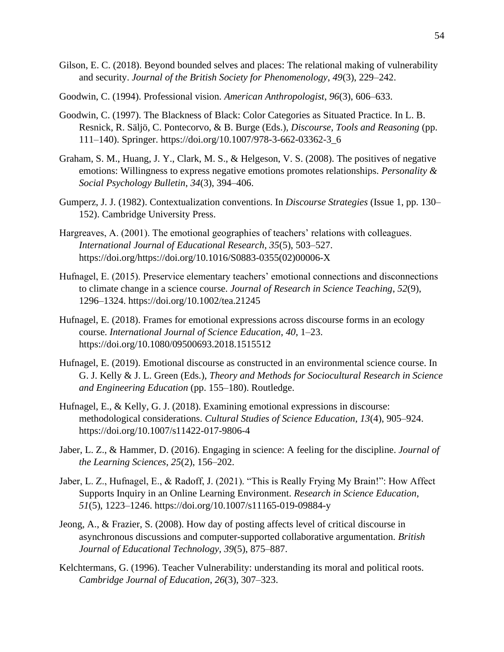- Gilson, E. C. (2018). Beyond bounded selves and places: The relational making of vulnerability and security. *Journal of the British Society for Phenomenology*, *49*(3), 229–242.
- Goodwin, C. (1994). Professional vision. *American Anthropologist*, *96*(3), 606–633.
- Goodwin, C. (1997). The Blackness of Black: Color Categories as Situated Practice. In L. B. Resnick, R. Säljö, C. Pontecorvo, & B. Burge (Eds.), *Discourse, Tools and Reasoning* (pp. 111–140). Springer. https://doi.org/10.1007/978-3-662-03362-3\_6
- Graham, S. M., Huang, J. Y., Clark, M. S., & Helgeson, V. S. (2008). The positives of negative emotions: Willingness to express negative emotions promotes relationships. *Personality & Social Psychology Bulletin*, *34*(3), 394–406.
- Gumperz, J. J. (1982). Contextualization conventions. In *Discourse Strategies* (Issue 1, pp. 130– 152). Cambridge University Press.
- Hargreaves, A. (2001). The emotional geographies of teachers' relations with colleagues. *International Journal of Educational Research*, *35*(5), 503–527. https://doi.org/https://doi.org/10.1016/S0883-0355(02)00006-X
- Hufnagel, E. (2015). Preservice elementary teachers' emotional connections and disconnections to climate change in a science course. *Journal of Research in Science Teaching*, *52*(9), 1296–1324. https://doi.org/10.1002/tea.21245
- Hufnagel, E. (2018). Frames for emotional expressions across discourse forms in an ecology course. *International Journal of Science Education*, *40*, 1–23. https://doi.org/10.1080/09500693.2018.1515512
- Hufnagel, E. (2019). Emotional discourse as constructed in an environmental science course. In G. J. Kelly & J. L. Green (Eds.), *Theory and Methods for Sociocultural Research in Science and Engineering Education* (pp. 155–180). Routledge.
- Hufnagel, E., & Kelly, G. J. (2018). Examining emotional expressions in discourse: methodological considerations. *Cultural Studies of Science Education*, *13*(4), 905–924. https://doi.org/10.1007/s11422-017-9806-4
- Jaber, L. Z., & Hammer, D. (2016). Engaging in science: A feeling for the discipline. *Journal of the Learning Sciences*, *25*(2), 156–202.
- Jaber, L. Z., Hufnagel, E., & Radoff, J. (2021). "This is Really Frying My Brain!": How Affect Supports Inquiry in an Online Learning Environment. *Research in Science Education*, *51*(5), 1223–1246. https://doi.org/10.1007/s11165-019-09884-y
- Jeong, A., & Frazier, S. (2008). How day of posting affects level of critical discourse in asynchronous discussions and computer-supported collaborative argumentation. *British Journal of Educational Technology*, *39*(5), 875–887.
- Kelchtermans, G. (1996). Teacher Vulnerability: understanding its moral and political roots. *Cambridge Journal of Education*, *26*(3), 307–323.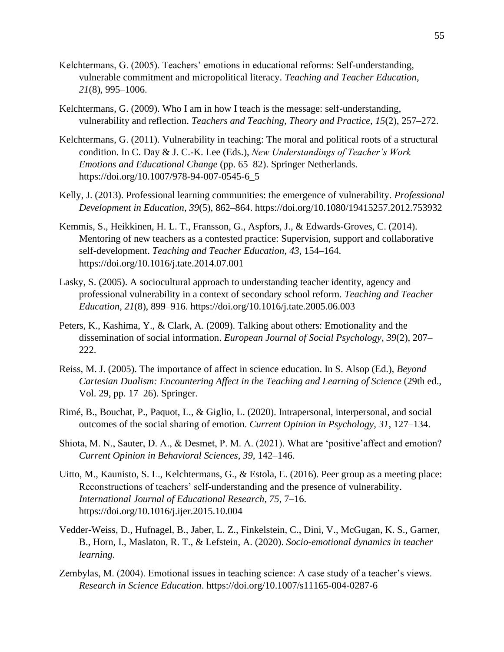- Kelchtermans, G. (2005). Teachers' emotions in educational reforms: Self-understanding, vulnerable commitment and micropolitical literacy. *Teaching and Teacher Education*, *21*(8), 995–1006.
- Kelchtermans, G. (2009). Who I am in how I teach is the message: self-understanding, vulnerability and reflection. *Teachers and Teaching, Theory and Practice*, *15*(2), 257–272.
- Kelchtermans, G. (2011). Vulnerability in teaching: The moral and political roots of a structural condition. In C. Day & J. C.-K. Lee (Eds.), *New Understandings of Teacher's Work Emotions and Educational Change* (pp. 65–82). Springer Netherlands. https://doi.org/10.1007/978-94-007-0545-6\_5
- Kelly, J. (2013). Professional learning communities: the emergence of vulnerability. *Professional Development in Education*, *39*(5), 862–864. https://doi.org/10.1080/19415257.2012.753932
- Kemmis, S., Heikkinen, H. L. T., Fransson, G., Aspfors, J., & Edwards-Groves, C. (2014). Mentoring of new teachers as a contested practice: Supervision, support and collaborative self-development. *Teaching and Teacher Education*, *43*, 154–164. https://doi.org/10.1016/j.tate.2014.07.001
- Lasky, S. (2005). A sociocultural approach to understanding teacher identity, agency and professional vulnerability in a context of secondary school reform. *Teaching and Teacher Education*, *21*(8), 899–916. https://doi.org/10.1016/j.tate.2005.06.003
- Peters, K., Kashima, Y., & Clark, A. (2009). Talking about others: Emotionality and the dissemination of social information. *European Journal of Social Psychology*, *39*(2), 207– 222.
- Reiss, M. J. (2005). The importance of affect in science education. In S. Alsop (Ed.), *Beyond Cartesian Dualism: Encountering Affect in the Teaching and Learning of Science* (29th ed., Vol. 29, pp. 17–26). Springer.
- Rimé, B., Bouchat, P., Paquot, L., & Giglio, L. (2020). Intrapersonal, interpersonal, and social outcomes of the social sharing of emotion. *Current Opinion in Psychology*, *31*, 127–134.
- Shiota, M. N., Sauter, D. A., & Desmet, P. M. A. (2021). What are 'positive'affect and emotion? *Current Opinion in Behavioral Sciences*, *39*, 142–146.
- Uitto, M., Kaunisto, S. L., Kelchtermans, G., & Estola, E. (2016). Peer group as a meeting place: Reconstructions of teachers' self-understanding and the presence of vulnerability. *International Journal of Educational Research*, *75*, 7–16. https://doi.org/10.1016/j.ijer.2015.10.004
- Vedder-Weiss, D., Hufnagel, B., Jaber, L. Z., Finkelstein, C., Dini, V., McGugan, K. S., Garner, B., Horn, I., Maslaton, R. T., & Lefstein, A. (2020). *Socio-emotional dynamics in teacher learning*.
- Zembylas, M. (2004). Emotional issues in teaching science: A case study of a teacher's views. *Research in Science Education*. https://doi.org/10.1007/s11165-004-0287-6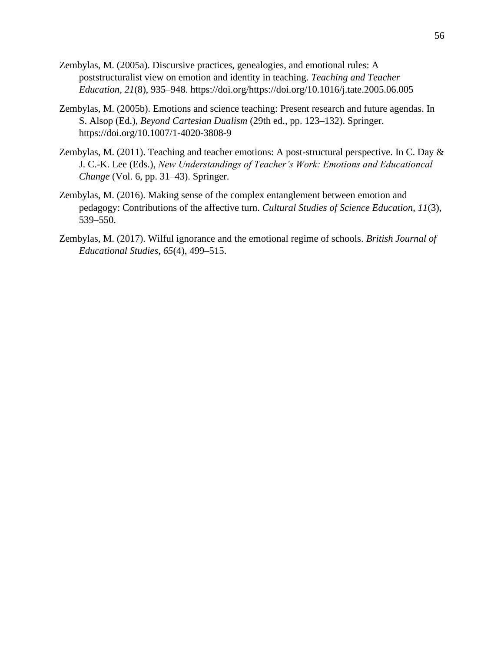- Zembylas, M. (2005a). Discursive practices, genealogies, and emotional rules: A poststructuralist view on emotion and identity in teaching. *Teaching and Teacher Education*, *21*(8), 935–948. https://doi.org/https://doi.org/10.1016/j.tate.2005.06.005
- Zembylas, M. (2005b). Emotions and science teaching: Present research and future agendas. In S. Alsop (Ed.), *Beyond Cartesian Dualism* (29th ed., pp. 123–132). Springer. https://doi.org/10.1007/1-4020-3808-9
- Zembylas, M. (2011). Teaching and teacher emotions: A post-structural perspective. In C. Day & J. C.-K. Lee (Eds.), *New Understandings of Teacher's Work: Emotions and Educationcal Change* (Vol. 6, pp. 31–43). Springer.
- Zembylas, M. (2016). Making sense of the complex entanglement between emotion and pedagogy: Contributions of the affective turn. *Cultural Studies of Science Education*, *11*(3), 539–550.
- Zembylas, M. (2017). Wilful ignorance and the emotional regime of schools. *British Journal of Educational Studies*, *65*(4), 499–515.